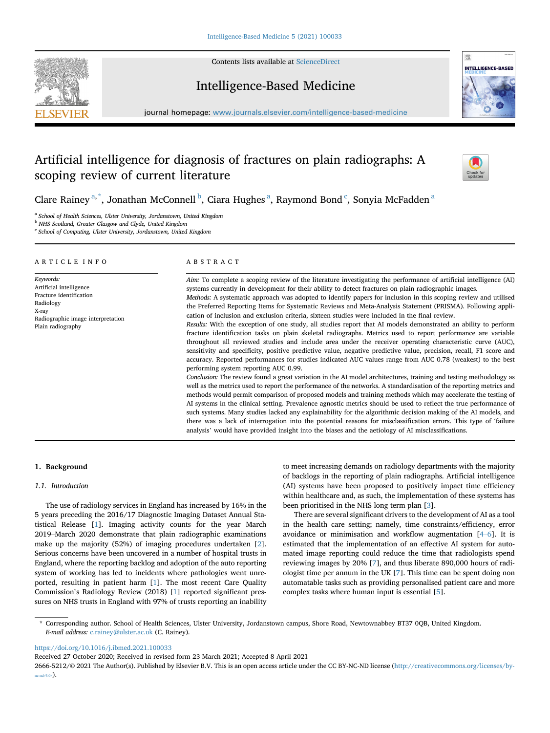

Contents lists available at [ScienceDirect](www.sciencedirect.com/science/journal/26665212)

# Intelligence-Based Medicine



journal homepage: <www.journals.elsevier.com/intelligence-based-medicine>

# Artificial intelligence for diagnosis of fractures on plain radiographs: A scoping review of current literature



Clare Rainey<sup>[a,](#page-0-0)[\\*](#page-0-1)</sup>, Jonathan McConnell<sup>[b](#page-0-2)</sup>, Ci[a](#page-0-0)ra Hughes<sup>a</sup>, Raymond Bond<sup>[c](#page-0-3)</sup>, Sonyia McFadden<sup>a</sup>

<span id="page-0-0"></span><sup>a</sup> School of Health Sciences, Ulster University, Jordanstown, United Kingdom

<span id="page-0-2"></span><sup>b</sup> NHS Scotland, Greater Glasgow and Clyde, United Kingdom

<span id="page-0-3"></span><sup>c</sup> School of Computing, Ulster University, Jordanstown, United Kingdom

#### ARTICLE INFO

Keywords: Artificial intelligence Fracture identification Radiology X-ray Radiographic image interpretation Plain radiography

#### ABSTRACT

Aim: To complete a scoping review of the literature investigating the performance of artificial intelligence (AI) systems currently in development for their ability to detect fractures on plain radiographic images. Methods: A systematic approach was adopted to identify papers for inclusion in this scoping review and utilised the Preferred Reporting Items for Systematic Reviews and Meta-Analysis Statement (PRISMA). Following application of inclusion and exclusion criteria, sixteen studies were included in the final review.

Results: With the exception of one study, all studies report that AI models demonstrated an ability to perform fracture identification tasks on plain skeletal radiographs. Metrics used to report performance are variable throughout all reviewed studies and include area under the receiver operating characteristic curve (AUC), sensitivity and specificity, positive predictive value, negative predictive value, precision, recall, F1 score and accuracy. Reported performances for studies indicated AUC values range from AUC 0.78 (weakest) to the best performing system reporting AUC 0.99.

Conclusion: The review found a great variation in the AI model architectures, training and testing methodology as well as the metrics used to report the performance of the networks. A standardisation of the reporting metrics and methods would permit comparison of proposed models and training methods which may accelerate the testing of AI systems in the clinical setting. Prevalence agnostic metrics should be used to reflect the true performance of such systems. Many studies lacked any explainability for the algorithmic decision making of the AI models, and there was a lack of interrogation into the potential reasons for misclassification errors. This type of 'failure analysis' would have provided insight into the biases and the aetiology of AI misclassifications.

# 1. Background

#### 1.1. Introduction

The use of radiology services in England has increased by 16% in the 5 years preceding the 2016/17 Diagnostic Imaging Dataset Annual Statistical Release [\[1\]](#page-16-0). Imaging activity counts for the year March <sup>2019</sup>–March 2020 demonstrate that plain radiographic examinations make up the majority (52%) of imaging procedures undertaken [[2](#page-16-1)]. Serious concerns have been uncovered in a number of hospital trusts in England, where the reporting backlog and adoption of the auto reporting system of working has led to incidents where pathologies went unreported, resulting in patient harm [[1](#page-16-0)]. The most recent Care Quality Commission's Radiology Review (2018) [[1](#page-16-0)] reported significant pressures on NHS trusts in England with 97% of trusts reporting an inability

to meet increasing demands on radiology departments with the majority of backlogs in the reporting of plain radiographs. Artificial intelligence (AI) systems have been proposed to positively impact time efficiency within healthcare and, as such, the implementation of these systems has been prioritised in the NHS long term plan [\[3\]](#page-16-2).

There are several significant drivers to the development of AI as a tool in the health care setting; namely, time constraints/efficiency, error avoidance or minimisation and workflow augmentation [[4](#page-16-3)–[6\]](#page-16-3). It is estimated that the implementation of an effective AI system for automated image reporting could reduce the time that radiologists spend reviewing images by 20% [\[7\]](#page-16-4), and thus liberate 890,000 hours of radiologist time per annum in the UK [\[7\]](#page-16-4). This time can be spent doing non automatable tasks such as providing personalised patient care and more complex tasks where human input is essential [[5](#page-16-5)].

<span id="page-0-1"></span>\* Corresponding author. School of Health Sciences, Ulster University, Jordanstown campus, Shore Road, Newtownabbey BT37 0QB, United Kingdom. E-mail address: [c.rainey@ulster.ac.uk](mailto:c.rainey@ulster.ac.uk) (C. Rainey).

<https://doi.org/10.1016/j.ibmed.2021.100033>

Received 27 October 2020; Received in revised form 23 March 2021; Accepted 8 April 2021

2666-5212/© 2021 The Author(s). Published by Elsevier B.V. This is an open access article under the CC BY-NC-ND license [\(http://creativecommons.org/licenses/by](http://creativecommons.org/licenses/by-nc-nd/4.0/) $nc-nd/4.0/$ ).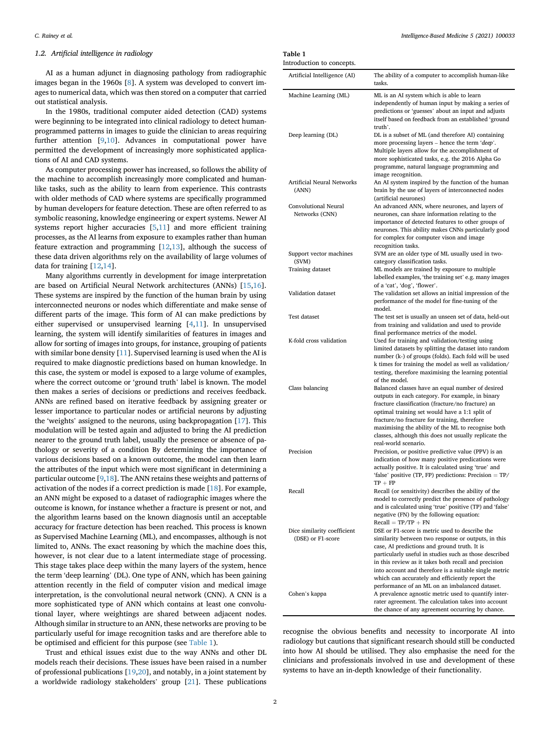# 1.2. Artificial intelligence in radiology

AI as a human adjunct in diagnosing pathology from radiographic images began in the 1960s [[8](#page-16-6)]. A system was developed to convert images to numerical data, which was then stored on a computer that carried out statistical analysis.

In the 1980s, traditional computer aided detection (CAD) systems were beginning to be integrated into clinical radiology to detect humanprogrammed patterns in images to guide the clinician to areas requiring further attention [[9](#page-16-7)[,10](#page-16-8)]. Advances in computational power have permitted the development of increasingly more sophisticated applications of AI and CAD systems.

As computer processing power has increased, so follows the ability of the machine to accomplish increasingly more complicated and humanlike tasks, such as the ability to learn from experience. This contrasts with older methods of CAD where systems are specifically programmed by human developers for feature detection. These are often referred to as symbolic reasoning, knowledge engineering or expert systems. Newer AI systems report higher accuracies [\[5,](#page-16-5)[11\]](#page-16-9) and more efficient training processes, as the AI learns from exposure to examples rather than human feature extraction and programming [[12,](#page-16-10)[13\]](#page-16-11), although the success of these data driven algorithms rely on the availability of large volumes of data for training [[12,](#page-16-10)[14\]](#page-16-12).

Many algorithms currently in development for image interpretation are based on Artificial Neural Network architectures (ANNs) [\[15](#page-16-13)[,16](#page-16-14)]. These systems are inspired by the function of the human brain by using interconnected neurons or nodes which differentiate and make sense of different parts of the image. This form of AI can make predictions by either supervised or unsupervised learning [[4](#page-16-3),[11](#page-16-9)]. In unsupervised learning, the system will identify similarities of features in images and allow for sorting of images into groups, for instance, grouping of patients with similar bone density [\[11](#page-16-9)]. Supervised learning is used when the AI is required to make diagnostic predictions based on human knowledge. In this case, the system or model is exposed to a large volume of examples, where the correct outcome or 'ground truth' label is known. The model then makes a series of decisions or predictions and receives feedback. ANNs are refined based on iterative feedback by assigning greater or lesser importance to particular nodes or artificial neurons by adjusting the 'weights' assigned to the neurons, using backpropagation [\[17](#page-16-15)]. This modulation will be tested again and adjusted to bring the AI prediction nearer to the ground truth label, usually the presence or absence of pathology or severity of a condition By determining the importance of various decisions based on a known outcome, the model can then learn the attributes of the input which were most significant in determining a particular outcome [\[9,](#page-16-7)[18\]](#page-16-16). The ANN retains these weights and patterns of activation of the nodes if a correct prediction is made [\[18](#page-16-16)]. For example, an ANN might be exposed to a dataset of radiographic images where the outcome is known, for instance whether a fracture is present or not, and the algorithm learns based on the known diagnosis until an acceptable accuracy for fracture detection has been reached. This process is known as Supervised Machine Learning (ML), and encompasses, although is not limited to, ANNs. The exact reasoning by which the machine does this, however, is not clear due to a latent intermediate stage of processing. This stage takes place deep within the many layers of the system, hence the term 'deep learning' (DL). One type of ANN, which has been gaining attention recently in the field of computer vision and medical image interpretation, is the convolutional neural network (CNN). A CNN is a more sophisticated type of ANN which contains at least one convolutional layer, where weightings are shared between adjacent nodes. Although similar in structure to an ANN, these networks are proving to be particularly useful for image recognition tasks and are therefore able to be optimised and efficient for this purpose (see [Table 1](#page-1-0)).

Trust and ethical issues exist due to the way ANNs and other DL models reach their decisions. These issues have been raised in a number of professional publications [\[19](#page-16-17)[,20](#page-16-18)], and notably, in a joint statement by a worldwide radiology stakeholders' group [\[21\]](#page-16-19). These publications

# <span id="page-1-0"></span>Table 1

| Introduction to concepts.                        |                                                                                                                                                                                                                                                                                                                                                                                      |
|--------------------------------------------------|--------------------------------------------------------------------------------------------------------------------------------------------------------------------------------------------------------------------------------------------------------------------------------------------------------------------------------------------------------------------------------------|
| Artificial Intelligence (AI)                     | The ability of a computer to accomplish human-like<br>tasks.                                                                                                                                                                                                                                                                                                                         |
| Machine Learning (ML)                            | ML is an AI system which is able to learn<br>independently of human input by making a series of<br>predictions or 'guesses' about an input and adjusts<br>itself based on feedback from an established 'ground<br>truth'.                                                                                                                                                            |
| Deep learning (DL)                               | DL is a subset of ML (and therefore AI) containing<br>more processing layers - hence the term 'deep'.<br>Multiple layers allow for the accomplishment of<br>more sophisticated tasks, e.g. the 2016 Alpha Go<br>programme, natural language programming and<br>image recognition.                                                                                                    |
| Artificial Neural Networks<br>(ANN)              | An AI system inspired by the function of the human<br>brain by the use of layers of interconnected nodes<br>(artificial neurones)                                                                                                                                                                                                                                                    |
| Convolutional Neural<br>Networks (CNN)           | An advanced ANN, where neurones, and layers of<br>neurones, can share information relating to the<br>importance of detected features to other groups of<br>neurones. This ability makes CNNs particularly good<br>for complex for computer vison and image<br>recognition tasks.                                                                                                     |
| Support vector machines                          | SVM are an older type of ML usually used in two-                                                                                                                                                                                                                                                                                                                                     |
| (SVM)<br>Training dataset                        | category classification tasks.<br>ML models are trained by exposure to multiple<br>labelled examples, 'the training set' e.g. many images<br>of a 'cat', 'dog', 'flower'.                                                                                                                                                                                                            |
| Validation dataset                               | The validation set allows an initial impression of the<br>performance of the model for fine-tuning of the<br>model.                                                                                                                                                                                                                                                                  |
| Test dataset                                     | The test set is usually an unseen set of data, held-out<br>from training and validation and used to provide<br>final performance metrics of the model.                                                                                                                                                                                                                               |
| K-fold cross validation                          | Used for training and validation/testing using<br>limited datasets by splitting the dataset into random<br>number (k-) of groups (folds). Each fold will be used<br>k times for training the model as well as validation/<br>testing, therefore maximising the learning potential<br>of the model.                                                                                   |
| Class balancing                                  | Balanced classes have an equal number of desired<br>outputs in each category. For example, in binary<br>fracture classification (fracture/no fracture) an<br>optimal training set would have a 1:1 split of<br>fracture/no fracture for training, therefore<br>maximising the ability of the ML to recognise both<br>classes, although this does not usually replicate the           |
| Precision                                        | real-world scenario.<br>Precision, or positive predictive value (PPV) is an<br>indication of how many positive predications were<br>actually positive. It is calculated using 'true' and<br>'false' positive (TP, FP) predictions: Precision $=$ TP/<br>$TP + FP$                                                                                                                    |
| Recall                                           | Recall (or sensitivity) describes the ability of the<br>model to correctly predict the presence of pathology<br>and is calculated using 'true' positive (TP) and 'false'<br>negative (FN) by the following equation:<br>$Recall = TP/TP + FN$                                                                                                                                        |
| Dice similarity coefficient<br>(DSE) or F1-score | DSE or F1-score is metric used to describe the<br>similarity between two response or outputs, in this<br>case, AI predictions and ground truth. It is<br>particularly useful in studies such as those described<br>in this review as it takes both recall and precision<br>into account and therefore is a suitable single metric<br>which can accurately and efficiently report the |
| Cohen's kappa                                    | performance of an ML on an imbalanced dataset.<br>A prevalence agnostic metric used to quantify inter-<br>rater agreement. The calculation takes into account<br>the chance of any agreement occurring by chance.                                                                                                                                                                    |

recognise the obvious benefits and necessity to incorporate AI into radiology but cautions that significant research should still be conducted into how AI should be utilised. They also emphasise the need for the clinicians and professionals involved in use and development of these systems to have an in-depth knowledge of their functionality.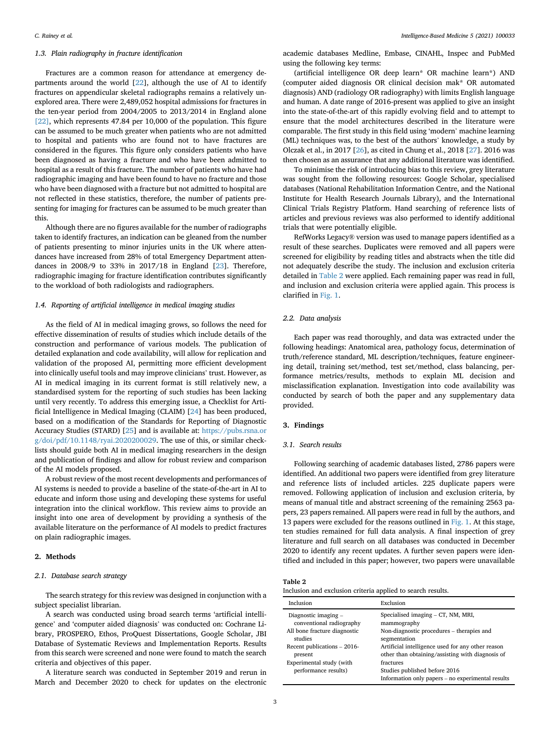## 1.3. Plain radiography in fracture identification

Fractures are a common reason for attendance at emergency departments around the world [[22\]](#page-16-20), although the use of AI to identify fractures on appendicular skeletal radiographs remains a relatively unexplored area. There were 2,489,052 hospital admissions for fractures in the ten-year period from 2004/2005 to 2013/2014 in England alone [\[22\]](#page-16-20), which represents 47.84 per 10,000 of the population. This figure can be assumed to be much greater when patients who are not admitted to hospital and patients who are found not to have fractures are considered in the figures. This figure only considers patients who have been diagnosed as having a fracture and who have been admitted to hospital as a result of this fracture. The number of patients who have had radiographic imaging and have been found to have no fracture and those who have been diagnosed with a fracture but not admitted to hospital are not reflected in these statistics, therefore, the number of patients presenting for imaging for fractures can be assumed to be much greater than this.

Although there are no figures available for the number of radiographs taken to identify fractures, an indication can be gleaned from the number of patients presenting to minor injuries units in the UK where attendances have increased from 28% of total Emergency Department attendances in 2008/9 to 33% in 2017/18 in England [[23\]](#page-16-21). Therefore, radiographic imaging for fracture identification contributes significantly to the workload of both radiologists and radiographers.

#### 1.4. Reporting of artificial intelligence in medical imaging studies

As the field of AI in medical imaging grows, so follows the need for effective dissemination of results of studies which include details of the construction and performance of various models. The publication of detailed explanation and code availability, will allow for replication and validation of the proposed AI, permitting more efficient development into clinically useful tools and may improve clinicians' trust. However, as AI in medical imaging in its current format is still relatively new, a standardised system for the reporting of such studies has been lacking until very recently. To address this emerging issue, a Checklist for Artificial Intelligence in Medical Imaging (CLAIM) [\[24\]](#page-16-22) has been produced, based on a modification of the Standards for Reporting of Diagnostic Accuracy Studies (STARD) [[25\]](#page-16-23) and is available at: [https://pubs.rsna.or](https://pubs.rsna.org/doi/pdf/10.1148/ryai.2020200029) [g/doi/pdf/10.1148/ryai.2020200029](https://pubs.rsna.org/doi/pdf/10.1148/ryai.2020200029). The use of this, or similar checklists should guide both AI in medical imaging researchers in the design and publication of findings and allow for robust review and comparison of the AI models proposed.

A robust review of the most recent developments and performances of AI systems is needed to provide a baseline of the state-of-the-art in AI to educate and inform those using and developing these systems for useful integration into the clinical workflow. This review aims to provide an insight into one area of development by providing a synthesis of the available literature on the performance of AI models to predict fractures on plain radiographic images.

#### 2. Methods

#### 2.1. Database search strategy

The search strategy for this review was designed in conjunction with a subject specialist librarian.

A search was conducted using broad search terms 'artificial intelligence' and 'computer aided diagnosis' was conducted on: Cochrane Library, PROSPERO, Ethos, ProQuest Dissertations, Google Scholar, JBI Database of Systematic Reviews and Implementation Reports. Results from this search were screened and none were found to match the search criteria and objectives of this paper.

A literature search was conducted in September 2019 and rerun in March and December 2020 to check for updates on the electronic

academic databases Medline, Embase, CINAHL, Inspec and PubMed using the following key terms:

(artificial intelligence OR deep learn\* OR machine learn\*) AND (computer aided diagnosis OR clinical decision mak\* OR automated diagnosis) AND (radiology OR radiography) with limits English language and human. A date range of 2016-present was applied to give an insight into the state-of-the-art of this rapidly evolving field and to attempt to ensure that the model architectures described in the literature were comparable. The first study in this field using 'modern' machine learning (ML) techniques was, to the best of the authors' knowledge, a study by Olczak et al., in 2017 [[26](#page-16-24)], as cited in Chung et al., 2018 [[27\]](#page-16-25). 2016 was then chosen as an assurance that any additional literature was identified.

To minimise the risk of introducing bias to this review, grey literature was sought from the following resources: Google Scholar, specialised databases (National Rehabilitation Information Centre, and the National Institute for Health Research Journals Library), and the International Clinical Trials Registry Platform. Hand searching of reference lists of articles and previous reviews was also performed to identify additional trials that were potentially eligible.

RefWorks Legacy® version was used to manage papers identified as a result of these searches. Duplicates were removed and all papers were screened for eligibility by reading titles and abstracts when the title did not adequately describe the study. The inclusion and exclusion criteria detailed in [Table 2](#page-2-0) were applied. Each remaining paper was read in full, and inclusion and exclusion criteria were applied again. This process is clarified in [Fig. 1.](#page-3-0)

#### 2.2. Data analysis

Each paper was read thoroughly, and data was extracted under the following headings: Anatomical area, pathology focus, determination of truth/reference standard, ML description/techniques, feature engineering detail, training set/method, test set/method, class balancing, performance metrics/results, methods to explain ML decision and misclassification explanation. Investigation into code availability was conducted by search of both the paper and any supplementary data provided.

# 3. Findings

#### 3.1. Search results

Following searching of academic databases listed, 2786 papers were identified. An additional two papers were identified from grey literature and reference lists of included articles. 225 duplicate papers were removed. Following application of inclusion and exclusion criteria, by means of manual title and abstract screening of the remaining 2563 papers, 23 papers remained. All papers were read in full by the authors, and 13 papers were excluded for the reasons outlined in [Fig. 1](#page-3-0). At this stage, ten studies remained for full data analysis. A final inspection of grey literature and full search on all databases was conducted in December 2020 to identify any recent updates. A further seven papers were identified and included in this paper; however, two papers were unavailable

<span id="page-2-0"></span>

| ю<br>, |  |
|--------|--|
|        |  |

| Inclusion and exclusion criteria applied to search results. |
|-------------------------------------------------------------|
|-------------------------------------------------------------|

| Inclusion                                        | Exclusion                                                                                       |
|--------------------------------------------------|-------------------------------------------------------------------------------------------------|
| Diagnostic imaging -                             | Specialised imaging – CT, NM, MRI,                                                              |
| conventional radiography                         | mammography                                                                                     |
| All bone fracture diagnostic                     | Non-diagnostic procedures – therapies and                                                       |
| studies                                          | segmentation                                                                                    |
| Recent publications - 2016-                      | Artificial intelligence used for any other reason                                               |
| present                                          | other than obtaining/assisting with diagnosis of                                                |
| Experimental study (with<br>performance results) | fractures<br>Studies published before 2016<br>Information only papers – no experimental results |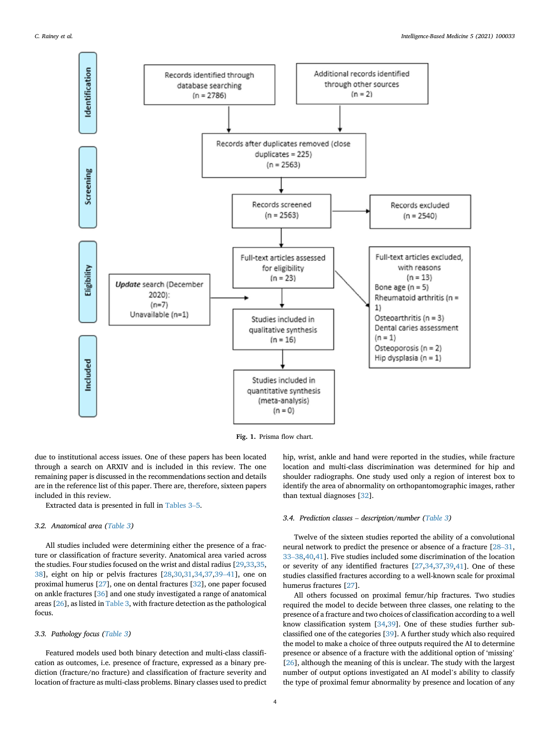<span id="page-3-0"></span>

Fig. 1. Prisma flow chart.

due to institutional access issues. One of these papers has been located through a search on ARXIV and is included in this review. The one remaining paper is discussed in the recommendations section and details are in the reference list of this paper. There are, therefore, sixteen papers included in this review.

Extracted data is presented in full in [Tables 3](#page-4-0)–[5.](#page-4-0)

#### 3.2. Anatomical area ([Table 3\)](#page-4-0)

All studies included were determining either the presence of a fracture or classification of fracture severity. Anatomical area varied across the studies. Four studies focused on the wrist and distal radius [\[29](#page-16-26),[33](#page-17-0),[35,](#page-17-1) [38\]](#page-17-2), eight on hip or pelvis fractures [\[28](#page-16-27)[,30](#page-16-28)[,31](#page-16-29)[,34](#page-17-3)[,37](#page-17-4)[,39](#page-17-5)–[41](#page-17-5)], one on proximal humerus [[27\]](#page-16-25), one on dental fractures [[32\]](#page-17-6), one paper focused on ankle fractures [\[36\]](#page-17-7) and one study investigated a range of anatomical areas [[26\]](#page-16-24), as listed in [Table 3,](#page-4-0) with fracture detection as the pathological focus.

#### 3.3. Pathology focus ([Table 3\)](#page-4-0)

Featured models used both binary detection and multi-class classification as outcomes, i.e. presence of fracture, expressed as a binary prediction (fracture/no fracture) and classification of fracture severity and location of fracture as multi-class problems. Binary classes used to predict hip, wrist, ankle and hand were reported in the studies, while fracture location and multi-class discrimination was determined for hip and shoulder radiographs. One study used only a region of interest box to identify the area of abnormality on orthopantomographic images, rather than textual diagnoses [[32\]](#page-17-6).

#### 3.4. Prediction classes – description/number ([Table 3\)](#page-4-0)

Twelve of the sixteen studies reported the ability of a convolutional neural network to predict the presence or absence of a fracture [[28](#page-16-27)–[31,](#page-16-27) [33](#page-17-0)–[38](#page-17-0),[40,](#page-17-8)[41\]](#page-17-9). Five studies included some discrimination of the location or severity of any identified fractures [\[27](#page-16-25)[,34](#page-17-3)[,37](#page-17-4)[,39](#page-17-5),[41\]](#page-17-9). One of these studies classified fractures according to a well-known scale for proximal humerus fractures [\[27](#page-16-25)].

All others focussed on proximal femur/hip fractures. Two studies required the model to decide between three classes, one relating to the presence of a fracture and two choices of classification according to a well know classification system [[34,](#page-17-3)[39\]](#page-17-5). One of these studies further subclassified one of the categories [[39\]](#page-17-5). A further study which also required the model to make a choice of three outputs required the AI to determine presence or absence of a fracture with the additional option of 'missing' [[26\]](#page-16-24), although the meaning of this is unclear. The study with the largest number of output options investigated an AI model's ability to classify the type of proximal femur abnormality by presence and location of any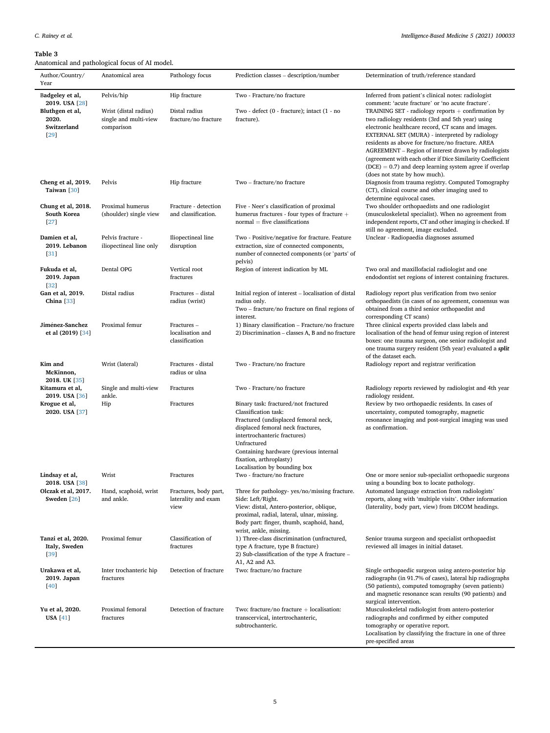#### <span id="page-4-0"></span>Table 3

Anatomical and pathological focus of AI model.

| <b>F-1</b><br>Author/Country/<br>Year                             | Anatomical area                                              | Pathology focus                                      | Prediction classes – description/number                                                                                                                                                                                                                                                       | Determination of truth/reference standard                                                                                                                                                                                                                                                                                                                                                                                                                                                                                                     |
|-------------------------------------------------------------------|--------------------------------------------------------------|------------------------------------------------------|-----------------------------------------------------------------------------------------------------------------------------------------------------------------------------------------------------------------------------------------------------------------------------------------------|-----------------------------------------------------------------------------------------------------------------------------------------------------------------------------------------------------------------------------------------------------------------------------------------------------------------------------------------------------------------------------------------------------------------------------------------------------------------------------------------------------------------------------------------------|
| Badgeley et al,                                                   | Pelvis/hip                                                   | Hip fracture                                         | Two - Fracture/no fracture                                                                                                                                                                                                                                                                    | Inferred from patient's clinical notes: radiologist                                                                                                                                                                                                                                                                                                                                                                                                                                                                                           |
| 2019. USA [28]<br>Bluthgen et al,<br>2020.<br>Switzerland<br>[29] | Wrist (distal radius)<br>single and multi-view<br>comparison | Distal radius<br>fracture/no fracture                | Two - defect (0 - fracture); intact (1 - no<br>fracture).                                                                                                                                                                                                                                     | comment: 'acute fracture' or 'no acute fracture'.<br>TRAINING SET - radiology reports $+$ confirmation by<br>two radiology residents (3rd and 5th year) using<br>electronic healthcare record, CT scans and images.<br>EXTERNAL SET (MURA) - interpreted by radiology<br>residents as above for fracture/no fracture. AREA<br>AGREEMENT – Region of interest drawn by radiologists<br>(agreement with each other if Dice Similarity Coefficient<br>$(DCE) = 0.7$ ) and deep learning system agree if overlap<br>(does not state by how much). |
| Cheng et al, 2019.<br>Taiwan [30]                                 | Pelvis                                                       | Hip fracture                                         | Two – fracture/no fracture                                                                                                                                                                                                                                                                    | Diagnosis from trauma registry. Computed Tomography<br>(CT), clinical course and other imaging used to<br>determine equivocal cases.                                                                                                                                                                                                                                                                                                                                                                                                          |
| Chung et al, 2018.<br>South Korea<br>$[27]$                       | Proximal humerus<br>(shoulder) single view                   | Fracture - detection<br>and classification.          | Five - Neer's classification of proximal<br>humerus fractures - four types of fracture +<br>$normal = five classification$                                                                                                                                                                    | Two shoulder orthopaedists and one radiologist<br>(musculoskeletal specialist). When no agreement from<br>independent reports, CT and other imaging is checked. If<br>still no agreement, image excluded.                                                                                                                                                                                                                                                                                                                                     |
| Damien et al,<br>2019. Lebanon<br>[31]                            | Pelvis fracture -<br>iliopectineal line only                 | Iliopectineal line<br>disruption                     | Two - Positive/negative for fracture. Feature<br>extraction, size of connected components,<br>number of connected components (or 'parts' of<br>pelvis)                                                                                                                                        | Unclear - Radiopaedia diagnoses assumed                                                                                                                                                                                                                                                                                                                                                                                                                                                                                                       |
| Fukuda et al,<br>2019. Japan<br>$[32]$                            | Dental OPG                                                   | Vertical root<br>fractures                           | Region of interest indication by ML                                                                                                                                                                                                                                                           | Two oral and maxillofacial radiologist and one<br>endodontist set regions of interest containing fractures.                                                                                                                                                                                                                                                                                                                                                                                                                                   |
| Gan et al, 2019.<br>China $[33]$                                  | Distal radius                                                | Fractures - distal<br>radius (wrist)                 | Initial region of interest - localisation of distal<br>radius only.<br>Two – fracture/no fracture on final regions of<br>interest.                                                                                                                                                            | Radiology report plus verification from two senior<br>orthopaedists (in cases of no agreement, consensus was<br>obtained from a third senior orthopaedist and<br>corresponding CT scans)                                                                                                                                                                                                                                                                                                                                                      |
| Jiménez-Sanchez<br>et al (2019) [34]                              | Proximal femur                                               | Fractures -<br>localisation and<br>classification    | 1) Binary classification - Fracture/no fracture<br>2) Discrimination – classes A, B and no fracture                                                                                                                                                                                           | Three clinical experts provided class labels and<br>localisation of the head of femur using region of interest<br>boxes: one trauma surgeon, one senior radiologist and<br>one trauma surgery resident (5th year) evaluated a <i>split</i><br>of the dataset each.                                                                                                                                                                                                                                                                            |
| Kim and<br>McKinnon,<br>2018. UK [35]                             | Wrist (lateral)                                              | Fractures - distal<br>radius or ulna                 | Two - Fracture/no fracture                                                                                                                                                                                                                                                                    | Radiology report and registrar verification                                                                                                                                                                                                                                                                                                                                                                                                                                                                                                   |
| Kitamura et al,<br>2019. USA [36]                                 | Single and multi-view<br>ankle.                              | Fractures                                            | Two - Fracture/no fracture                                                                                                                                                                                                                                                                    | Radiology reports reviewed by radiologist and 4th year<br>radiology resident.                                                                                                                                                                                                                                                                                                                                                                                                                                                                 |
| Krogue et al,<br>2020. USA [37]                                   | Hip                                                          | Fractures                                            | Binary task: fractured/not fractured<br>Classification task:<br>Fractured (undisplaced femoral neck,<br>displaced femoral neck fractures,<br>intertrochanteric fractures)<br>Unfractured<br>Containing hardware (previous internal<br>fixation, arthroplasty)<br>Localisation by bounding box | Review by two orthopaedic residents. In cases of<br>uncertainty, computed tomography, magnetic<br>resonance imaging and post-surgical imaging was used<br>as confirmation.                                                                                                                                                                                                                                                                                                                                                                    |
| Lindsay et al,<br>2018. USA [38]                                  | Wrist                                                        | Fractures                                            | Two - fracture/no fracture                                                                                                                                                                                                                                                                    | One or more senior sub-specialist orthopaedic surgeons<br>using a bounding box to locate pathology.                                                                                                                                                                                                                                                                                                                                                                                                                                           |
| Olczak et al, 2017.<br>Sweden [26]                                | Hand, scaphoid, wrist<br>and ankle.                          | Fractures, body part,<br>laterality and exam<br>view | Three for pathology-yes/no/missing fracture.<br>Side: Left/Right.<br>View: distal, Antero-posterior, oblique,<br>proximal, radial, lateral, ulnar, missing.<br>Body part: finger, thumb, scaphoid, hand,<br>wrist, ankle, missing.                                                            | Automated language extraction from radiologists'<br>reports, along with 'multiple visits'. Other information<br>(laterality, body part, view) from DICOM headings.                                                                                                                                                                                                                                                                                                                                                                            |
| Tanzi et al, 2020.<br>Italy, Sweden<br>$[39]$                     | Proximal femur                                               | Classification of<br>fractures                       | 1) Three-class discrimination (unfractured,<br>type A fracture, type B fracture)<br>2) Sub-classification of the type A fracture $-$<br>A1, A2 and A3.                                                                                                                                        | Senior trauma surgeon and specialist orthopaedist<br>reviewed all images in initial dataset.                                                                                                                                                                                                                                                                                                                                                                                                                                                  |
| Urakawa et al,<br>2019. Japan<br>[40]                             | Inter trochanteric hip<br>fractures                          | Detection of fracture                                | Two: fracture/no fracture                                                                                                                                                                                                                                                                     | Single orthopaedic surgeon using antero-posterior hip<br>radiographs (in 91.7% of cases), lateral hip radiographs<br>(50 patients), computed tomography (seven patients)<br>and magnetic resonance scan results (90 patients) and<br>surgical intervention.                                                                                                                                                                                                                                                                                   |
| Yu et al, 2020.<br><b>USA</b> [41]                                | Proximal femoral<br>fractures                                | Detection of fracture                                | Two: fracture/no fracture $+$ localisation:<br>transcervical, intertrochanteric,<br>subtrochanteric.                                                                                                                                                                                          | Musculoskeletal radiologist from antero-posterior<br>radiographs and confirmed by either computed<br>tomography or operative report.<br>Localisation by classifying the fracture in one of three<br>pre-specified areas                                                                                                                                                                                                                                                                                                                       |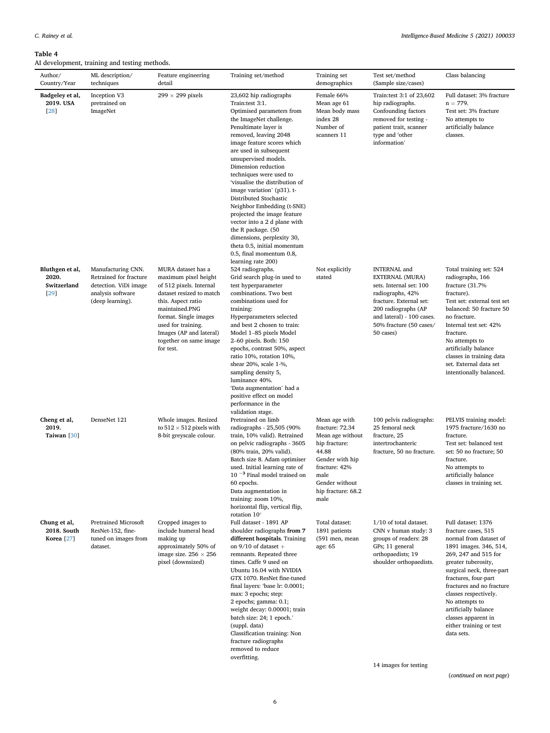#### <span id="page-5-0"></span>Table 4

AI development, training and testing methods.

| Author/<br>Country/Year                              | ML description/<br>techniques                                                                                  | Feature engineering<br>detail                                                                                                                                                                                                                              | Training set/method                                                                                                                                                                                                                                                                                                                                                                                                                                                                                                                                                                        | Training set<br>demographics                                                                                                                                               | Test set/method<br>(Sample size/cases)                                                                                                                                                                       | Class balancing                                                                                                                                                                                                                                                                                                                                                   |
|------------------------------------------------------|----------------------------------------------------------------------------------------------------------------|------------------------------------------------------------------------------------------------------------------------------------------------------------------------------------------------------------------------------------------------------------|--------------------------------------------------------------------------------------------------------------------------------------------------------------------------------------------------------------------------------------------------------------------------------------------------------------------------------------------------------------------------------------------------------------------------------------------------------------------------------------------------------------------------------------------------------------------------------------------|----------------------------------------------------------------------------------------------------------------------------------------------------------------------------|--------------------------------------------------------------------------------------------------------------------------------------------------------------------------------------------------------------|-------------------------------------------------------------------------------------------------------------------------------------------------------------------------------------------------------------------------------------------------------------------------------------------------------------------------------------------------------------------|
| Badgeley et al,<br>2019. USA<br>[28]                 | Inception V3<br>pretrained on<br>ImageNet                                                                      | 299 $\times$ 299 pixels                                                                                                                                                                                                                                    | 23,602 hip radiographs<br>Train:test 3:1.<br>Optimised parameters from<br>the ImageNet challenge.<br>Penultimate layer is<br>removed, leaving 2048<br>image feature scores which<br>are used in subsequent<br>unsupervised models.<br>Dimension reduction<br>techniques were used to<br>'visualise the distribution of<br>image variation' (p31). t-<br>Distributed Stochastic<br>Neighbor Embedding (t-SNE)<br>projected the image feature<br>vector into a 2 d plane with<br>the R package. (50<br>dimensions, perplexity 30,<br>theta 0.5, initial momentum<br>0.5, final momentum 0.8, | Female 66%<br>Mean age 61<br>Mean body mass<br>index 28<br>Number of<br>scanners 11                                                                                        | Train: test 3:1 of 23,602<br>hip radiographs.<br>Confounding factors<br>removed for testing -<br>patient trait, scanner<br>type and 'other<br>information'                                                   | Full dataset: 3% fracture<br>$n = 779.$<br>Test set: 3% fracture<br>No attempts to<br>artificially balance<br>classes.                                                                                                                                                                                                                                            |
| Bluthgen et al,<br>2020.<br>Switzerland<br>[29]      | Manufacturing CNN.<br>Retrained for fracture<br>detection. ViDi image<br>analysis software<br>(deep learning). | MURA dataset has a<br>maximum pixel height<br>of 512 pixels. Internal<br>dataset resized to match<br>this. Aspect ratio<br>maintained.PNG<br>format. Single images<br>used for training.<br>Images (AP and lateral)<br>together on same image<br>for test. | learning rate 200)<br>524 radiographs.<br>Grid search plug-in used to<br>test hyperparameter<br>combinations. Two best<br>combinations used for<br>training:<br>Hyperparameters selected<br>and best 2 chosen to train:<br>Model 1-85 pixels Model<br>2–60 pixels. Both: 150<br>epochs, contrast 50%, aspect<br>ratio 10%, rotation 10%,<br>shear 20%, scale 1-%,<br>sampling density 5,<br>luminance 40%.<br>'Data augmentation' had a<br>positive effect on model<br>performance in the                                                                                                  | Not explicitly<br>stated                                                                                                                                                   | <b>INTERNAL</b> and<br>EXTERNAL (MURA)<br>sets. Internal set: 100<br>radiographs, 42%<br>fracture. External set:<br>200 radiographs (AP<br>and lateral) - 100 cases.<br>50% fracture (50 cases/<br>50 cases) | Total training set: 524<br>radiographs, 166<br>fracture (31.7%<br>fracture).<br>Test set: external test set<br>balanced: 50 fracture 50<br>no fracture.<br>Internal test set: 42%<br>fracture.<br>No attempts to<br>artificially balance<br>classes in training data<br>set. External data set<br>intentionally balanced.                                         |
| Cheng et al,<br>2019.<br>Taiwan [30]                 | DenseNet 121                                                                                                   | Whole images. Resized<br>to $512 \times 512$ pixels with<br>8-bit greyscale colour.                                                                                                                                                                        | validation stage.<br>Pretrained on limb<br>radiographs - 25,505 (90%<br>train, 10% valid). Retrained<br>on pelvic radiographs - 3605<br>(80% train, 20% valid).<br>Batch size 8. Adam optimiser<br>used. Initial learning rate of<br>$10^{-3}$ Final model trained on<br>60 epochs.<br>Data augmentation in<br>training: zoom 10%,<br>horizontal flip, vertical flip,<br>rotation 10°                                                                                                                                                                                                      | Mean age with<br>fracture: 72.34<br>Mean age without<br>hip fracture:<br>44.88<br>Gender with hip<br>fracture: 42%<br>male<br>Gender without<br>hip fracture: 68.2<br>male | 100 pelvis radiographs:<br>25 femoral neck<br>fracture, 25<br>intertrochanteric<br>fracture, 50 no fracture.                                                                                                 | PELVIS training model:<br>1975 fracture/1630 no<br>fracture.<br>Test set: balanced test<br>set: 50 no fracture; 50<br>fracture.<br>No attempts to<br>artificially balance<br>classes in training set.                                                                                                                                                             |
| Chung et al,<br>2018. South<br>Korea <sup>[27]</sup> | Pretrained Microsoft<br>ResNet-152, fine-<br>tuned on images from<br>dataset.                                  | Cropped images to<br>include humeral head<br>making up<br>approximately 50% of<br>image size. $256 \times 256$<br>pixel (downsized)                                                                                                                        | Full dataset - 1891 AP<br>shoulder radiographs from 7<br>different hospitals. Training<br>on $9/10$ of dataset +<br>remnants. Repeated three<br>times. Caffe 9 used on<br>Ubuntu 16.04 with NVIDIA<br>GTX 1070. ResNet fine-tuned<br>final layers: 'base lr: 0.0001;<br>max: 3 epochs; step:<br>2 epochs; gamma: 0.1;<br>weight decay: 0.00001; train<br>batch size: 24; 1 epoch.'<br>(suppl. data)<br>Classification training: Non<br>fracture radiographs<br>removed to reduce<br>overfitting.                                                                                           | Total dataset:<br>1891 patients<br>(591 men, mean<br>age: 65                                                                                                               | 1/10 of total dataset.<br>CNN v human study: 3<br>groups of readers: 28<br>GPs; 11 general<br>orthopaedists; 19<br>shoulder orthopaedists.                                                                   | Full dataset: 1376<br>fracture cases, 515<br>normal from dataset of<br>1891 images. 346, 514,<br>269, 247 and 515 for<br>greater tuberosity,<br>surgical neck, three-part<br>fractures, four-part<br>fractures and no fracture<br>classes respectively.<br>No attempts to<br>artificially balance<br>classes apparent in<br>either training or test<br>data sets. |

14 images for testing

(continued on next page)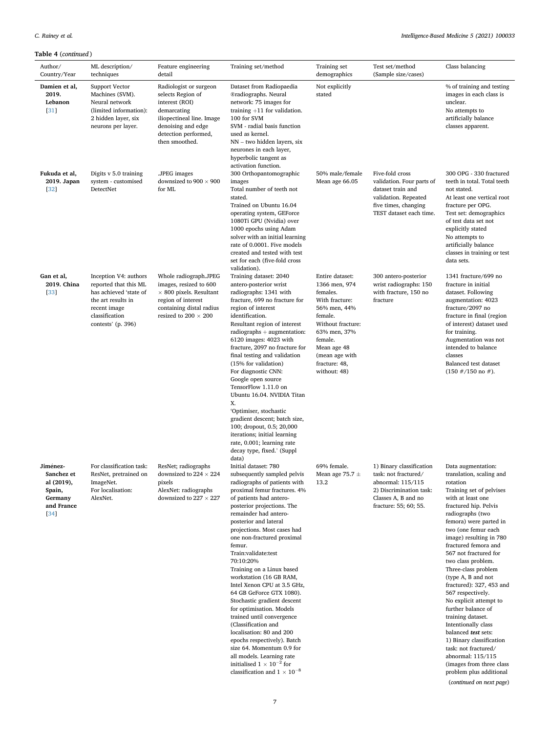# Table 4 (continued )

| Author/<br>Country/Year                                                           | ML description/<br>techniques                                                                                                                          | Feature engineering<br>detail                                                                                                                                             | Training set/method                                                                                                                                                                                                                                                                                                                                                                                                                                                                                                                                                                                                                                                                                                                                                             | Training set<br>demographics                                                                                                                                                                                | Test set/method<br>(Sample size/cases)                                                                                                           | Class balancing                                                                                                                                                                                                                                                                                                                                                                                                                                                                                                                                                                                                                                              |
|-----------------------------------------------------------------------------------|--------------------------------------------------------------------------------------------------------------------------------------------------------|---------------------------------------------------------------------------------------------------------------------------------------------------------------------------|---------------------------------------------------------------------------------------------------------------------------------------------------------------------------------------------------------------------------------------------------------------------------------------------------------------------------------------------------------------------------------------------------------------------------------------------------------------------------------------------------------------------------------------------------------------------------------------------------------------------------------------------------------------------------------------------------------------------------------------------------------------------------------|-------------------------------------------------------------------------------------------------------------------------------------------------------------------------------------------------------------|--------------------------------------------------------------------------------------------------------------------------------------------------|--------------------------------------------------------------------------------------------------------------------------------------------------------------------------------------------------------------------------------------------------------------------------------------------------------------------------------------------------------------------------------------------------------------------------------------------------------------------------------------------------------------------------------------------------------------------------------------------------------------------------------------------------------------|
| Damien et al,<br>2019.<br>Lebanon<br>$[31]$                                       | Support Vector<br>Machines (SVM).<br>Neural network<br>(limited information):<br>2 hidden layer, six<br>neurons per layer.                             | Radiologist or surgeon<br>selects Region of<br>interest (ROI)<br>demarcating<br>iliopectineal line. Image<br>denoising and edge<br>detection performed,<br>then smoothed. | Dataset from Radiopaedia<br>®radiographs. Neural<br>network: 75 images for<br>training $+11$ for validation.<br>100 for SVM<br>SVM - radial basis function<br>used as kernel.<br>NN – two hidden layers, six<br>neurones in each layer,<br>hyperbolic tangent as<br>activation function.                                                                                                                                                                                                                                                                                                                                                                                                                                                                                        | Not explicitly<br>stated                                                                                                                                                                                    |                                                                                                                                                  | % of training and testing<br>images in each class is<br>unclear.<br>No attempts to<br>artificially balance<br>classes apparent.                                                                                                                                                                                                                                                                                                                                                                                                                                                                                                                              |
| Fukuda et al,<br>2019. Japan<br>$[32]$                                            | Digits v 5.0 training<br>system - customised<br>DetectNet                                                                                              | .JPEG images<br>downsized to 900 $\times$ 900<br>for ML                                                                                                                   | 300 Orthopantomographic<br>images<br>Total number of teeth not<br>stated.<br>Trained on Ubuntu 16.04<br>operating system, GEForce<br>1080Ti GPU (Nvidia) over<br>1000 epochs using Adam<br>solver with an initial learning<br>rate of 0.0001. Five models<br>created and tested with test<br>set for each (five-fold cross<br>validation).                                                                                                                                                                                                                                                                                                                                                                                                                                      | 50% male/female<br>Mean age 66.05                                                                                                                                                                           | Five-fold cross<br>validation. Four parts of<br>dataset train and<br>validation. Repeated<br>five times, changing<br>TEST dataset each time.     | 300 OPG - 330 fractured<br>teeth in total. Total teeth<br>not stated.<br>At least one vertical root<br>fracture per OPG.<br>Test set: demographics<br>of test data set not<br>explicitly stated<br>No attempts to<br>artificially balance<br>classes in training or test<br>data sets.                                                                                                                                                                                                                                                                                                                                                                       |
| Gan et al,<br>2019. China<br>$[33]$                                               | Inception V4: authors<br>reported that this ML<br>has achieved 'state of<br>the art results in<br>recent image<br>classification<br>contests' (p. 396) | Whole radiograph.JPEG<br>images, resized to 600<br>$\times$ 800 pixels. Resultant<br>region of interest<br>containing distal radius<br>resized to 200 $\times$ 200        | Training dataset: 2040<br>antero-posterior wrist<br>radiographs: 1341 with<br>fracture, 699 no fracture for<br>region of interest<br>identification.<br>Resultant region of interest<br>$radiography + augmentation:$<br>6120 images: 4023 with<br>fracture, 2097 no fracture for<br>final testing and validation<br>(15% for validation)<br>For diagnostic CNN:<br>Google open source<br>TensorFlow 1.11.0 on<br>Ubuntu 16.04. NVIDIA Titan<br>Χ.<br>'Optimiser, stochastic<br>gradient descent; batch size,<br>100; dropout, 0.5; 20,000<br>iterations; initial learning<br>rate, 0.001; learning rate<br>decay type, fixed.' (Suppl<br>data)                                                                                                                                 | Entire dataset:<br>1366 men, 974<br>females.<br>With fracture:<br>56% men, 44%<br>female.<br>Without fracture:<br>63% men, 37%<br>female.<br>Mean age 48<br>(mean age with<br>fracture: 48,<br>without: 48) | 300 antero-posterior<br>wrist radiographs: 150<br>with fracture, 150 no<br>fracture                                                              | 1341 fracture/699 no<br>fracture in initial<br>dataset. Following<br>augmentation: 4023<br>fracture/2097 no<br>fracture in final (region<br>of interest) dataset used<br>for training.<br>Augmentation was not<br>intended to balance<br>classes<br>Balanced test dataset<br>$(150 \# / 150 \text{ no } \#).$                                                                                                                                                                                                                                                                                                                                                |
| Jiménez-<br>Sanchez et<br>al (2019),<br>Spain,<br>Germany<br>and France<br>$[34]$ | For classification task:<br>ResNet, pretrained on<br>ImageNet.<br>For localisation:<br>AlexNet.                                                        | ResNet; radiographs<br>downsized to 224 $\times$ 224<br>pixels<br>AlexNet: radiographs<br>downsized to 227 $\times$ 227                                                   | Initial dataset: 780<br>subsequently sampled pelvis<br>radiographs of patients with<br>proximal femur fractures. 4%<br>of patients had antero-<br>posterior projections. The<br>remainder had antero-<br>posterior and lateral<br>projections. Most cases had<br>one non-fractured proximal<br>femur.<br>Train:validate:test<br>70:10:20%<br>Training on a Linux based<br>workstation (16 GB RAM,<br>Intel Xenon CPU at 3.5 GHz,<br>64 GB GeForce GTX 1080).<br>Stochastic gradient descent<br>for optimisation. Models<br>trained until convergence<br>(Classification and<br>localisation: 80 and 200<br>epochs respectively). Batch<br>size 64. Momentum 0.9 for<br>all models. Learning rate<br>initialised $1 \times 10^{-2}$ for<br>classification and $1 \times 10^{-8}$ | 69% female.<br>Mean age 75.7 $\pm$<br>13.2                                                                                                                                                                  | 1) Binary classification<br>task: not fractured/<br>abnormal: 115/115<br>2) Discrimination task:<br>Classes A, B and no<br>fracture: 55; 60; 55. | Data augmentation:<br>translation, scaling and<br>rotation<br>Training set of pelvises<br>with at least one<br>fractured hip. Pelvis<br>radiographs (two<br>femora) were parted in<br>two (one femur each<br>image) resulting in 780<br>fractured femora and<br>567 not fractured for<br>two class problem.<br>Three-class problem<br>(type A, B and not<br>fractured): 327, 453 and<br>567 respectively.<br>No explicit attempt to<br>further balance of<br>training dataset.<br>Intentionally class<br>balanced test sets:<br>1) Binary classification<br>task: not fractured/<br>abnormal: 115/115<br>(images from three class<br>problem plus additional |

(continued on next page)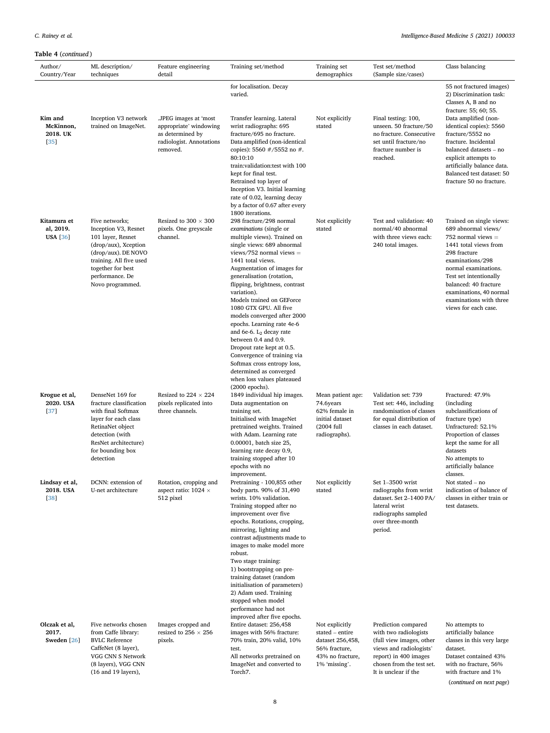# Table 4 (continued )

| Author/<br>Country/Year                     | ML description/<br>techniques                                                                                                                                                                     | Feature engineering<br>detail                                                                               | Training set/method                                                                                                                                                                                                                                                                                                                                                                                                                                                                                                                                                                                                                      | Training set<br>demographics                                                                                | Test set/method<br>(Sample size/cases)                                                                                                                                            | Class balancing                                                                                                                                                                                                                                                                               |
|---------------------------------------------|---------------------------------------------------------------------------------------------------------------------------------------------------------------------------------------------------|-------------------------------------------------------------------------------------------------------------|------------------------------------------------------------------------------------------------------------------------------------------------------------------------------------------------------------------------------------------------------------------------------------------------------------------------------------------------------------------------------------------------------------------------------------------------------------------------------------------------------------------------------------------------------------------------------------------------------------------------------------------|-------------------------------------------------------------------------------------------------------------|-----------------------------------------------------------------------------------------------------------------------------------------------------------------------------------|-----------------------------------------------------------------------------------------------------------------------------------------------------------------------------------------------------------------------------------------------------------------------------------------------|
|                                             |                                                                                                                                                                                                   |                                                                                                             | for localisation. Decay<br>varied.                                                                                                                                                                                                                                                                                                                                                                                                                                                                                                                                                                                                       |                                                                                                             |                                                                                                                                                                                   | 55 not fractured images)<br>2) Discrimination task:<br>Classes A, B and no<br>fracture: 55; 60; 55.                                                                                                                                                                                           |
| Kim and<br>McKinnon,<br>2018. UK<br>$[35]$  | Inception V3 network<br>trained on ImageNet.                                                                                                                                                      | .JPEG images at 'most<br>appropriate' windowing<br>as determined by<br>radiologist. Annotations<br>removed. | Transfer learning. Lateral<br>wrist radiographs: 695<br>fracture/695 no fracture.<br>Data amplified (non-identical<br>copies): 5560 $\#$ /5552 no $\#$ .<br>80:10:10<br>train: validation: test with 100<br>kept for final test.<br>Retrained top layer of<br>Inception V3. Initial learning<br>rate of 0.02, learning decay<br>by a factor of 0.67 after every<br>1800 iterations.                                                                                                                                                                                                                                                      | Not explicitly<br>stated                                                                                    | Final testing: 100,<br>unseen. 50 fracture/50<br>no fracture. Consecutive<br>set until fracture/no<br>fracture number is<br>reached.                                              | Data amplified (non-<br>identical copies): 5560<br>fracture/5552 no<br>fracture. Incidental<br>balanced datasets - no<br>explicit attempts to<br>artificially balance data.<br>Balanced test dataset: 50<br>fracture 50 no fracture.                                                          |
| Kitamura et<br>al, 2019.<br><b>USA</b> [36] | Five networks;<br>Inception V3, Resnet<br>101 layer, Resnet<br>(drop/aux), Xception<br>(drop/aux). DE NOVO<br>training. All five used<br>together for best<br>performance. De<br>Novo programmed. | Resized to $300 \times 300$<br>pixels. One greyscale<br>channel.                                            | 298 fracture/298 normal<br>examinations (single or<br>multiple views). Trained on<br>single views: 689 abnormal<br>views/752 normal views $=$<br>1441 total views.<br>Augmentation of images for<br>generalisation (rotation,<br>flipping, brightness, contrast<br>variation).<br>Models trained on GEForce<br>1080 GTX GPU. All five<br>models converged after 2000<br>epochs. Learning rate 4e-6<br>and 6e-6. $L_2$ decay rate<br>between 0.4 and 0.9.<br>Dropout rate kept at 0.5.<br>Convergence of training via<br>Softmax cross entropy loss,<br>determined as converged<br>when loss values plateaued<br>$(2000 \text{ epochs}).$ | Not explicitly<br>stated                                                                                    | Test and validation: 40<br>normal/40 abnormal<br>with three views each:<br>240 total images.                                                                                      | Trained on single views:<br>689 abnormal views/<br>752 normal views $=$<br>1441 total views from<br>298 fracture<br>examinations/298<br>normal examinations.<br>Test set intentionally<br>balanced: 40 fracture<br>examinations, 40 normal<br>examinations with three<br>views for each case. |
| Krogue et al,<br>2020. USA<br>$[37]$        | DenseNet 169 for<br>fracture classification<br>with final Softmax<br>layer for each class<br>RetinaNet object<br>detection (with<br>ResNet architecture)<br>for bounding box<br>detection         | Resized to 224 $\times$ 224<br>pixels replicated into<br>three channels.                                    | 1849 individual hip images.<br>Data augmentation on<br>training set.<br>Initialised with ImageNet<br>pretrained weights. Trained<br>with Adam. Learning rate<br>0.00001, batch size 25,<br>learning rate decay 0.9,<br>training stopped after 10<br>epochs with no<br>improvement.                                                                                                                                                                                                                                                                                                                                                       | Mean patient age:<br>74.6years<br>62% female in<br>initial dataset<br>(2004 full<br>radiographs).           | Validation set: 739<br>Test set: 446, including<br>randomisation of classes<br>for equal distribution of<br>classes in each dataset.                                              | Fractured: 47.9%<br>(including<br>subclassifications of<br>fracture type)<br>Unfractured: 52.1%<br>Proportion of classes<br>kept the same for all<br>datasets<br>No attempts to<br>artificially balance<br>classes.                                                                           |
| Lindsay et al,<br>2018. USA<br>$[38]$       | DCNN: extension of<br>U-net architecture                                                                                                                                                          | Rotation, cropping and<br>aspect ratio: $1024 \times$<br>512 pixel                                          | Pretraining - 100,855 other<br>body parts. 90% of 31,490<br>wrists. 10% validation.<br>Training stopped after no<br>improvement over five<br>epochs. Rotations, cropping,<br>mirroring, lighting and<br>contrast adjustments made to<br>images to make model more<br>robust.<br>Two stage training:<br>1) bootstrapping on pre-<br>training dataset (random<br>initialisation of parameters)<br>2) Adam used. Training<br>stopped when model<br>performance had not<br>improved after five epochs.                                                                                                                                       | Not explicitly<br>stated                                                                                    | Set 1-3500 wrist<br>radiographs from wrist<br>dataset. Set 2-1400 PA/<br>lateral wrist<br>radiographs sampled<br>over three-month<br>period.                                      | Not stated – no<br>indication of balance of<br>classes in either train or<br>test datasets.                                                                                                                                                                                                   |
| Olczak et al,<br>2017.<br>Sweden [26]       | Five networks chosen<br>from Caffe library:<br><b>BVLC</b> Reference<br>CaffeNet (8 layer),<br>VGG CNN S Network<br>(8 layers), VGG CNN<br>(16 and 19 layers),                                    | Images cropped and<br>resized to 256 $\times$ 256<br>pixels.                                                | Entire dataset: 256,458<br>images with 56% fracture:<br>70% train, 20% valid, 10%<br>test.<br>All networks pretrained on<br>ImageNet and converted to<br>Torch7.                                                                                                                                                                                                                                                                                                                                                                                                                                                                         | Not explicitly<br>stated – entire<br>dataset 256,458,<br>56% fracture,<br>43% no fracture,<br>1% 'missing'. | Prediction compared<br>with two radiologists<br>(full view images, other<br>views and radiologists'<br>report) in 400 images<br>chosen from the test set.<br>It is unclear if the | No attempts to<br>artificially balance<br>classes in this very large<br>dataset.<br>Dataset contained 43%<br>with no fracture, 56%<br>with fracture and 1%<br>(continued on next page)                                                                                                        |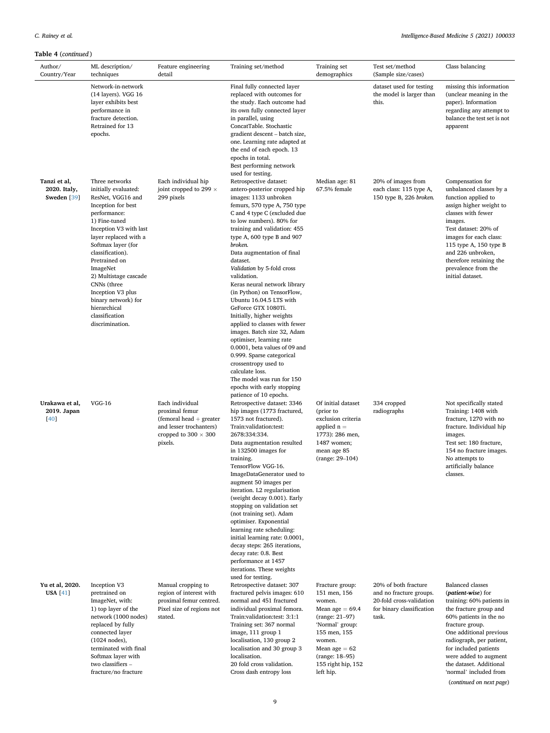| Author/<br>Country/Year                     | ML description/<br>techniques                                                                                                                                                                                                                                                                                                                                                         | Feature engineering<br>detail                                                                                                          | Training set/method                                                                                                                                                                                                                                                                                                                                                                                                                                                                                                                                                                                                                                                                                                                             | Training set<br>demographics                                                                                                                                                                          | Test set/method<br>(Sample size/cases)                                                                            | Class balancing                                                                                                                                                                                                                                                                                       |
|---------------------------------------------|---------------------------------------------------------------------------------------------------------------------------------------------------------------------------------------------------------------------------------------------------------------------------------------------------------------------------------------------------------------------------------------|----------------------------------------------------------------------------------------------------------------------------------------|-------------------------------------------------------------------------------------------------------------------------------------------------------------------------------------------------------------------------------------------------------------------------------------------------------------------------------------------------------------------------------------------------------------------------------------------------------------------------------------------------------------------------------------------------------------------------------------------------------------------------------------------------------------------------------------------------------------------------------------------------|-------------------------------------------------------------------------------------------------------------------------------------------------------------------------------------------------------|-------------------------------------------------------------------------------------------------------------------|-------------------------------------------------------------------------------------------------------------------------------------------------------------------------------------------------------------------------------------------------------------------------------------------------------|
|                                             | Network-in-network<br>$(14$ layers). VGG 16<br>layer exhibits best<br>performance in<br>fracture detection.<br>Retrained for 13<br>epochs.                                                                                                                                                                                                                                            |                                                                                                                                        | Final fully connected layer<br>replaced with outcomes for<br>the study. Each outcome had<br>its own fully connected layer<br>in parallel, using<br>ConcatTable. Stochastic<br>gradient descent – batch size,<br>one. Learning rate adapted at<br>the end of each epoch. 13<br>epochs in total.<br>Best performing network                                                                                                                                                                                                                                                                                                                                                                                                                       |                                                                                                                                                                                                       | dataset used for testing<br>the model is larger than<br>this.                                                     | missing this information<br>(unclear meaning in the<br>paper). Information<br>regarding any attempt to<br>balance the test set is not<br>apparent                                                                                                                                                     |
| Tanzi et al,<br>2020. Italy,<br>Sweden [39] | Three networks<br>initially evaluated:<br>ResNet, VGG16 and<br>Inception for best<br>performance:<br>1) Fine-tuned<br>Inception V3 with last<br>layer replaced with a<br>Softmax layer (for<br>classification).<br>Pretrained on<br>ImageNet<br>2) Multistage cascade<br>CNNs (three<br>Inception V3 plus<br>binary network) for<br>hierarchical<br>classification<br>discrimination. | Each individual hip<br>joint cropped to 299 $\times$<br>299 pixels                                                                     | used for testing.<br>Retrospective dataset:<br>antero-posterior cropped hip<br>images: 1133 unbroken<br>femurs, 570 type A, 750 type<br>C and 4 type C (excluded due<br>to low numbers). 80% for<br>training and validation: 455<br>type A, 600 type B and 907<br>broken.<br>Data augmentation of final<br>dataset.<br>Validation by 5-fold cross<br>validation.<br>Keras neural network library<br>(in Python) on TensorFlow,<br>Ubuntu 16.04.5 LTS with<br>GeForce GTX 1080Ti.<br>Initially, higher weights<br>applied to classes with fewer<br>images. Batch size 32, Adam<br>optimiser, learning rate<br>0.0001, beta values of 09 and<br>0.999. Sparse categorical<br>crossentropy used to<br>calculate loss.<br>The model was run for 150 | Median age: 81<br>67.5% female                                                                                                                                                                        | 20% of images from<br>each class: 115 type A,<br>150 type B, 226 broken.                                          | Compensation for<br>unbalanced classes by a<br>function applied to<br>assign higher weight to<br>classes with fewer<br>images.<br>Test dataset: 20% of<br>images for each class:<br>115 type A, 150 type B<br>and 226 unbroken,<br>therefore retaining the<br>prevalence from the<br>initial dataset. |
| Urakawa et al,<br>2019. Japan<br>[40]       | $VGG-16$                                                                                                                                                                                                                                                                                                                                                                              | Each individual<br>proximal femur<br>$($ femoral head $+$ greater<br>and lesser trochanters)<br>cropped to $300 \times 300$<br>pixels. | epochs with early stopping<br>patience of 10 epochs.<br>Retrospective dataset: 3346<br>hip images (1773 fractured,<br>1573 not fractured).<br>Train:validation:test:<br>2678:334:334.<br>Data augmentation resulted<br>in 132500 images for<br>training.<br>TensorFlow VGG-16.<br>ImageDataGenerator used to<br>augment 50 images per<br>iteration. L2 regularisation<br>(weight decay 0.001). Early<br>stopping on validation set<br>(not training set). Adam<br>optimiser. Exponential<br>learning rate scheduling:<br>initial learning rate: 0.0001,<br>decay steps: 265 iterations,<br>decay rate: 0.8. Best<br>performance at 1457<br>iterations. These weights                                                                            | Of initial dataset<br>(prior to<br>exclusion criteria<br>applied $n =$<br>1773): 286 men,<br>1487 women;<br>mean age 85<br>(range: 29-104)                                                            | 334 cropped<br>radiographs                                                                                        | Not specifically stated<br>Training: 1408 with<br>fracture, 1270 with no<br>fracture. Individual hip<br>images.<br>Test set: 180 fracture,<br>154 no fracture images.<br>No attempts to<br>artificially balance<br>classes.                                                                           |
| Yu et al, 2020.<br><b>USA</b> [41]          | Inception V3<br>pretrained on<br>ImageNet, with:<br>1) top layer of the<br>network (1000 nodes)<br>replaced by fully<br>connected layer<br>(1024 nodes),<br>terminated with final<br>Softmax layer with<br>two classifiers -<br>fracture/no fracture                                                                                                                                  | Manual cropping to<br>region of interest with<br>proximal femur centred.<br>Pixel size of regions not<br>stated.                       | used for testing.<br>Retrospective dataset: 307<br>fractured pelvis images: 610<br>normal and 451 fractured<br>individual proximal femora.<br>Train:validation:test: 3:1:1<br>Training set: 367 normal<br>image, 111 group 1<br>localisation, 130 group 2<br>localisation and 30 group 3<br>localisation.<br>20 fold cross validation.<br>Cross dash entropy loss                                                                                                                                                                                                                                                                                                                                                                               | Fracture group:<br>151 men, 156<br>women.<br>Mean age $= 69.4$<br>(range: 21-97)<br>'Normal' group:<br>155 men, 155<br>women.<br>Mean age $= 62$<br>(range: 18-95)<br>155 right hip, 152<br>left hip. | 20% of both fracture<br>and no fracture groups.<br>20-fold cross-validation<br>for binary classification<br>task. | <b>Balanced</b> classes<br>( <i>patient wise</i> ) for<br>training: 60% patients in<br>the fracture group and<br>60% patients in the no<br>fracture group.<br>One additional previous<br>radiograph, per patient,<br>for included patients<br>were added to augment<br>the dataset. Additional        |

(continued on next page)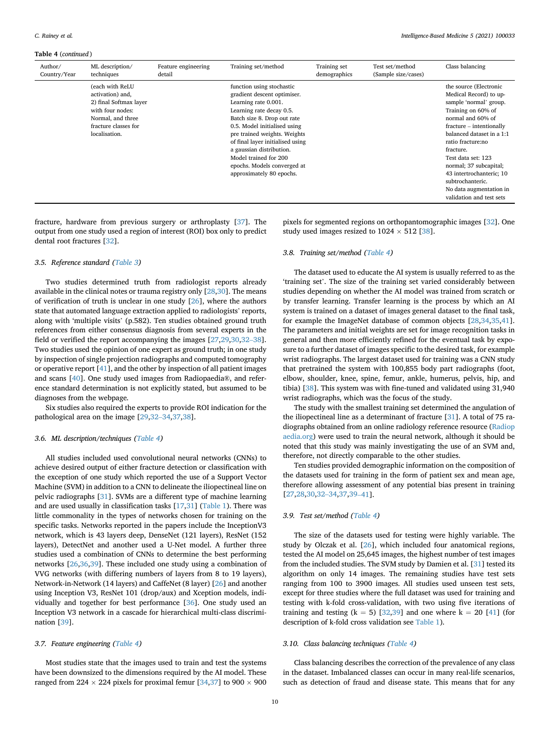#### Table 4 (continued )

| Author/<br>Country/Year | ML description/<br>techniques                                                                                                                   | Feature engineering<br>detail | Training set/method                                                                                                                                                                                                                                                                                                                                             | Training set<br>demographics | Test set/method<br>(Sample size/cases) | Class balancing                                                                                                                                                                                                                                                                                                                                                         |
|-------------------------|-------------------------------------------------------------------------------------------------------------------------------------------------|-------------------------------|-----------------------------------------------------------------------------------------------------------------------------------------------------------------------------------------------------------------------------------------------------------------------------------------------------------------------------------------------------------------|------------------------------|----------------------------------------|-------------------------------------------------------------------------------------------------------------------------------------------------------------------------------------------------------------------------------------------------------------------------------------------------------------------------------------------------------------------------|
|                         | (each with ReLU<br>activation) and,<br>2) final Softmax layer<br>with four nodes:<br>Normal, and three<br>fracture classes for<br>localisation. |                               | function using stochastic<br>gradient descent optimiser.<br>Learning rate 0.001.<br>Learning rate decay 0.5.<br>Batch size 8. Drop out rate<br>0.5. Model initialised using<br>pre trained weights. Weights<br>of final layer initialised using<br>a gaussian distribution.<br>Model trained for 200<br>epochs. Models converged at<br>approximately 80 epochs. |                              |                                        | the source (Electronic<br>Medical Record) to up-<br>sample 'normal' group.<br>Training on 60% of<br>normal and 60% of<br>fracture – intentionally<br>balanced dataset in a 1:1<br>ratio fracture:no<br>fracture.<br>Test data set: 123<br>normal; 37 subcapital;<br>43 intertrochanteric; 10<br>subtrochanteric.<br>No data augmentation in<br>validation and test sets |

fracture, hardware from previous surgery or arthroplasty [[37\]](#page-17-4). The output from one study used a region of interest (ROI) box only to predict dental root fractures [[32\]](#page-17-6).

#### 3.5. Reference standard ([Table 3\)](#page-4-0)

Two studies determined truth from radiologist reports already available in the clinical notes or trauma registry only [\[28](#page-16-27)[,30](#page-16-28)]. The means of verification of truth is unclear in one study [\[26\]](#page-16-24), where the authors state that automated language extraction applied to radiologists' reports, along with 'multiple visits' (p.582). Ten studies obtained ground truth references from either consensus diagnosis from several experts in the field or verified the report accompanying the images [\[27](#page-16-25)[,29](#page-16-26)[,30](#page-16-28)[,32](#page-17-6)–[38](#page-17-6)]. Two studies used the opinion of one expert as ground truth; in one study by inspection of single projection radiographs and computed tomography or operative report [[41\]](#page-17-9), and the other by inspection of all patient images and scans [[40\]](#page-17-8). One study used images from Radiopaedia®, and reference standard determination is not explicitly stated, but assumed to be diagnoses from the webpage.

Six studies also required the experts to provide ROI indication for the pathological area on the image [[29,](#page-16-26)[32](#page-17-6)–[34,](#page-17-6)[37,](#page-17-4)[38\]](#page-17-2).

#### 3.6. ML description/techniques [\(Table 4](#page-5-0))

All studies included used convolutional neural networks (CNNs) to achieve desired output of either fracture detection or classification with the exception of one study which reported the use of a Support Vector Machine (SVM) in addition to a CNN to delineate the iliopectineal line on pelvic radiographs [\[31](#page-16-29)]. SVMs are a different type of machine learning and are used usually in classification tasks [[17,](#page-16-15)[31\]](#page-16-29) [\(Table 1](#page-1-0)). There was little commonality in the types of networks chosen for training on the specific tasks. Networks reported in the papers include the InceptionV3 network, which is 43 layers deep, DenseNet (121 layers), ResNet (152 layers), DetectNet and another used a U-Net model. A further three studies used a combination of CNNs to determine the best performing networks [[26,](#page-16-24)[36,](#page-17-7)[39\]](#page-17-5). These included one study using a combination of VVG networks (with differing numbers of layers from 8 to 19 layers), Network-in-Network (14 layers) and CaffeNet (8 layer) [[26\]](#page-16-24) and another using Inception V3, ResNet 101 (drop/aux) and Xception models, individually and together for best performance [[36\]](#page-17-7). One study used an Inception V3 network in a cascade for hierarchical multi-class discrimination [[39\]](#page-17-5).

# 3.7. Feature engineering [\(Table 4](#page-5-0))

Most studies state that the images used to train and test the systems have been downsized to the dimensions required by the AI model. These ranged from 224  $\times$  224 pixels for proximal femur [[34](#page-17-3),[37\]](#page-17-4) to 900  $\times$  900

pixels for segmented regions on orthopantomographic images [[32\]](#page-17-6). One study used images resized to  $1024 \times 512$  [\[38\]](#page-17-2).

#### 3.8. Training set/method [\(Table 4\)](#page-5-0)

The dataset used to educate the AI system is usually referred to as the 'training set'. The size of the training set varied considerably between studies depending on whether the AI model was trained from scratch or by transfer learning. Transfer learning is the process by which an AI system is trained on a dataset of images general dataset to the final task, for example the ImageNet database of common objects [[28,](#page-16-27)[34](#page-17-3)[,35](#page-17-1)[,41](#page-17-9)]. The parameters and initial weights are set for image recognition tasks in general and then more efficiently refined for the eventual task by exposure to a further dataset of images specific to the desired task, for example wrist radiographs. The largest dataset used for training was a CNN study that pretrained the system with 100,855 body part radiographs (foot, elbow, shoulder, knee, spine, femur, ankle, humerus, pelvis, hip, and tibia) [\[38\]](#page-17-2). This system was with fine-tuned and validated using 31,940 wrist radiographs, which was the focus of the study.

The study with the smallest training set determined the angulation of the iliopectineal line as a determinant of fracture [[31\]](#page-16-29). A total of 75 radiographs obtained from an online radiology reference resource [\(Radiop](http://Radiopaedia.org) [aedia.org\)](http://Radiopaedia.org) were used to train the neural network, although it should be noted that this study was mainly investigating the use of an SVM and, therefore, not directly comparable to the other studies.

Ten studies provided demographic information on the composition of the datasets used for training in the form of patient sex and mean age, therefore allowing assessment of any potential bias present in training [[27,](#page-16-25)[28](#page-16-27)[,30](#page-16-28)[,32](#page-17-6)–[34](#page-17-6)[,37](#page-17-4)[,39](#page-17-5)–[41](#page-17-5)].

#### 3.9. Test set/method [\(Table 4](#page-5-0))

The size of the datasets used for testing were highly variable. The study by Olczak et al. [[26\]](#page-16-24), which included four anatomical regions, tested the AI model on 25,645 images, the highest number of test images from the included studies. The SVM study by Damien et al. [[31\]](#page-16-29) tested its algorithm on only 14 images. The remaining studies have test sets ranging from 100 to 3900 images. All studies used unseen test sets, except for three studies where the full dataset was used for training and testing with k-fold cross-validation, with two using five iterations of training and testing  $(k = 5)$  [[32,](#page-17-6)[39\]](#page-17-5) and one where  $k = 20$  [\[41](#page-17-9)] (for description of k-fold cross validation see [Table 1\)](#page-1-0).

#### 3.10. Class balancing techniques ([Table 4\)](#page-5-0)

Class balancing describes the correction of the prevalence of any class in the dataset. Imbalanced classes can occur in many real-life scenarios, such as detection of fraud and disease state. This means that for any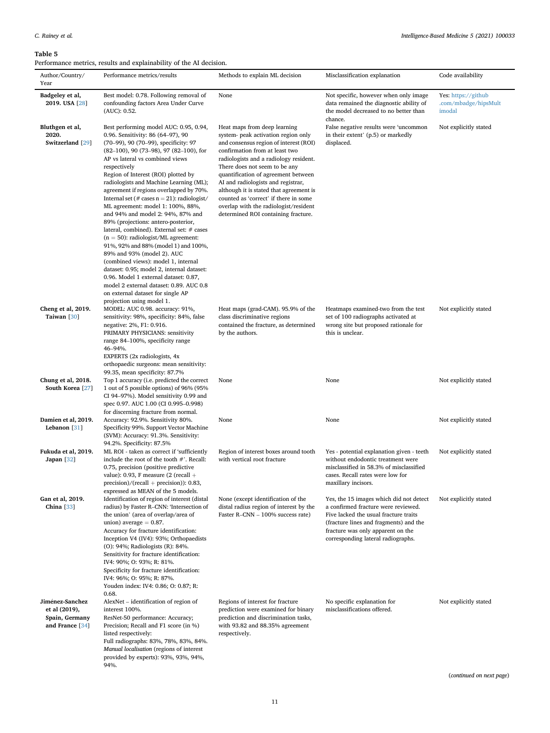#### <span id="page-10-0"></span>Table 5

|                                                                       | Performance metrics, results and explainability of the AI decision.                                                                                                                                                                                                                                                                                                                                                                                                                                                                                                                                                                                                                                                                                                                                                                                                                                                     |                                                                                                                                                                                                                                                                                                                                                                                                                                                                             |                                                                                                                                                                                                                                              |                                                       |
|-----------------------------------------------------------------------|-------------------------------------------------------------------------------------------------------------------------------------------------------------------------------------------------------------------------------------------------------------------------------------------------------------------------------------------------------------------------------------------------------------------------------------------------------------------------------------------------------------------------------------------------------------------------------------------------------------------------------------------------------------------------------------------------------------------------------------------------------------------------------------------------------------------------------------------------------------------------------------------------------------------------|-----------------------------------------------------------------------------------------------------------------------------------------------------------------------------------------------------------------------------------------------------------------------------------------------------------------------------------------------------------------------------------------------------------------------------------------------------------------------------|----------------------------------------------------------------------------------------------------------------------------------------------------------------------------------------------------------------------------------------------|-------------------------------------------------------|
| Author/Country/<br>Year                                               | Performance metrics/results                                                                                                                                                                                                                                                                                                                                                                                                                                                                                                                                                                                                                                                                                                                                                                                                                                                                                             | Methods to explain ML decision                                                                                                                                                                                                                                                                                                                                                                                                                                              | Misclassification explanation                                                                                                                                                                                                                | Code availability                                     |
| Badgeley et al,<br>2019. USA [28]                                     | Best model: 0.78. Following removal of<br>confounding factors Area Under Curve<br>(AUC): 0.52.                                                                                                                                                                                                                                                                                                                                                                                                                                                                                                                                                                                                                                                                                                                                                                                                                          | None                                                                                                                                                                                                                                                                                                                                                                                                                                                                        | Not specific, however when only image<br>data remained the diagnostic ability of<br>the model decreased to no better than<br>chance.                                                                                                         | Yes: https://github<br>.com/mbadge/hipsMult<br>imodal |
| Bluthgen et al,<br>2020.<br>Switzerland [29]                          | Best performing model AUC: 0.95, 0.94,<br>0.96. Sensitivity: 86 (64-97), 90<br>(70-99), 90 (70-99), specificity: 97<br>(82-100), 90 (73-98), 97 (82-100), for<br>AP vs lateral vs combined views<br>respectively<br>Region of Interest (ROI) plotted by<br>radiologists and Machine Learning (ML);<br>agreement if regions overlapped by 70%.<br>Internal set (# cases $n = 21$ ): radiologist/<br>ML agreement: model 1: 100%, 88%,<br>and 94% and model 2: 94%, 87% and<br>89% (projections: antero-posterior,<br>lateral, combined). External set: # cases<br>$(n = 50)$ : radiologist/ML agreement:<br>91%, 92% and 88% (model 1) and 100%,<br>89% and 93% (model 2). AUC<br>(combined views): model 1, internal<br>dataset: 0.95; model 2, internal dataset:<br>0.96. Model 1 external dataset: 0.87,<br>model 2 external dataset: 0.89. AUC 0.8<br>on external dataset for single AP<br>projection using model 1. | Heat maps from deep learning<br>system- peak activation region only<br>and consensus region of interest (ROI)<br>confirmation from at least two<br>radiologists and a radiology resident.<br>There does not seem to be any<br>quantification of agreement between<br>AI and radiologists and registrar,<br>although it is stated that agreement is<br>counted as 'correct' if there in some<br>overlap with the radiologist/resident<br>determined ROI containing fracture. | False negative results were 'uncommon<br>in their extent' (p.5) or markedly<br>displaced.                                                                                                                                                    | Not explicitly stated                                 |
| Cheng et al, 2019.<br>Taiwan [30]                                     | MODEL: AUC 0.98. accuracy: 91%,<br>sensitivity: 98%, specificity: 84%, false<br>negative: 2%, F1: 0.916.<br>PRIMARY PHYSICIANS: sensitivity<br>range 84–100%, specificity range<br>46-94%.<br>EXPERTS (2x radiologists, 4x<br>orthopaedic surgeons: mean sensitivity:<br>99.35, mean specificity: 87.7%                                                                                                                                                                                                                                                                                                                                                                                                                                                                                                                                                                                                                 | Heat maps (grad-CAM). 95.9% of the<br>class discriminative regions<br>contained the fracture, as determined<br>by the authors.                                                                                                                                                                                                                                                                                                                                              | Heatmaps examined-two from the test<br>set of 100 radiographs activated at<br>wrong site but proposed rationale for<br>this is unclear.                                                                                                      | Not explicitly stated                                 |
| Chung et al, 2018.<br>South Korea [27]                                | Top 1 accuracy (i.e. predicted the correct<br>1 out of 5 possible options) of 96% (95%<br>CI 94-97%). Model sensitivity 0.99 and<br>spec 0.97. AUC 1.00 (CI 0.995-0.998)<br>for discerning fracture from normal.                                                                                                                                                                                                                                                                                                                                                                                                                                                                                                                                                                                                                                                                                                        | None                                                                                                                                                                                                                                                                                                                                                                                                                                                                        | None                                                                                                                                                                                                                                         | Not explicitly stated                                 |
| Damien et al, 2019.<br>Lebanon [31]                                   | Accuracy: 92.9%. Sensitivity 80%.<br>Specificity 99%. Support Vector Machine<br>(SVM): Accuracy: 91.3%. Sensitivity:<br>94.2%. Specificity: 87.5%                                                                                                                                                                                                                                                                                                                                                                                                                                                                                                                                                                                                                                                                                                                                                                       | None                                                                                                                                                                                                                                                                                                                                                                                                                                                                        | None                                                                                                                                                                                                                                         | Not explicitly stated                                 |
| Fukuda et al, 2019.<br>Japan [32]                                     | ML ROI - taken as correct if 'sufficiently<br>include the root of the tooth #'. Recall:<br>0.75, precision (positive predictive<br>value): 0.93, F measure (2 (recall $+$<br>$precision)/(recall + precision)$ : 0.83,<br>expressed as MEAN of the 5 models.                                                                                                                                                                                                                                                                                                                                                                                                                                                                                                                                                                                                                                                            | Region of interest boxes around tooth<br>with vertical root fracture                                                                                                                                                                                                                                                                                                                                                                                                        | Yes - potential explanation given - teeth<br>without endodontic treatment were<br>misclassified in 58.3% of misclassified<br>cases. Recall rates were low for<br>maxillary incisors.                                                         | Not explicitly stated                                 |
| Gan et al, 2019.<br>China $[33]$                                      | Identification of region of interest (distal<br>radius) by Faster R-CNN: 'Intersection of<br>the union' (area of overlap/area of<br>union) average $= 0.87$ .<br>Accuracy for fracture identification:<br>Inception V4 (IV4): 93%; Orthopaedists<br>(O): 94%; Radiologists (R): 84%.<br>Sensitivity for fracture identification:<br>IV4: 90%; O: 93%; R: 81%.<br>Specificity for fracture identification:<br>IV4: 96%; O: 95%; R: 87%.<br>Youden index: IV4: 0.86; O: 0.87; R:<br>0.68.                                                                                                                                                                                                                                                                                                                                                                                                                                 | None (except identification of the<br>distal radius region of interest by the<br>Faster R-CNN - 100% success rate)                                                                                                                                                                                                                                                                                                                                                          | Yes, the 15 images which did not detect<br>a confirmed fracture were reviewed.<br>Five lacked the usual fracture traits<br>(fracture lines and fragments) and the<br>fracture was only apparent on the<br>corresponding lateral radiographs. | Not explicitly stated                                 |
| Jiménez-Sanchez<br>et al (2019),<br>Spain, Germany<br>and France [34] | AlexNet – identification of region of<br>interest 100%.<br>ResNet-50 performance: Accuracy;<br>Precision; Recall and F1 score (in %)<br>listed respectively:                                                                                                                                                                                                                                                                                                                                                                                                                                                                                                                                                                                                                                                                                                                                                            | Regions of interest for fracture<br>prediction were examined for binary<br>prediction and discrimination tasks,<br>with 93.82 and 88.35% agreement<br>respectively.                                                                                                                                                                                                                                                                                                         | No specific explanation for<br>misclassifications offered.                                                                                                                                                                                   | Not explicitly stated                                 |

(continued on next page)

Full radiographs: 83%, 78%, 83%, 84%. Manual localisation (regions of interest provided by experts): 93%, 93%, 94%,

94%.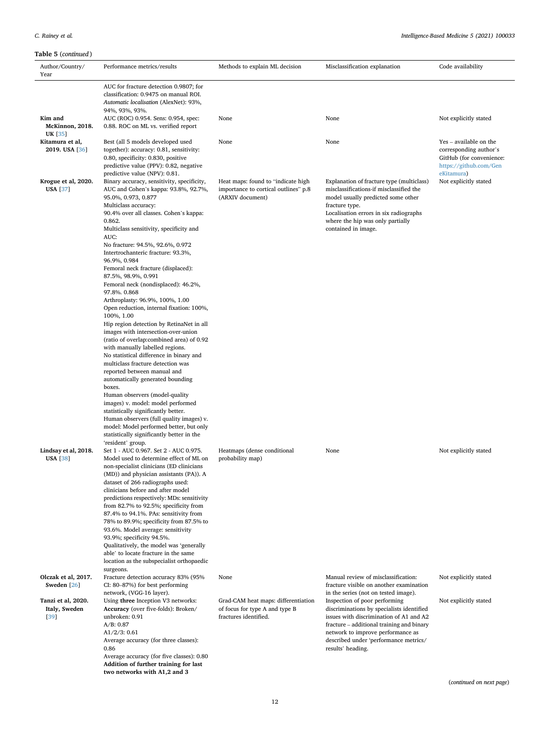| Author/Country/<br>Year | Performance metrics/results                                                         | Methods to explain ML decision                           | Misclassification explanation                                                   | Code availability                                  |
|-------------------------|-------------------------------------------------------------------------------------|----------------------------------------------------------|---------------------------------------------------------------------------------|----------------------------------------------------|
|                         | AUC for fracture detection 0.9807; for                                              |                                                          |                                                                                 |                                                    |
|                         | classification: 0.9475 on manual ROI.                                               |                                                          |                                                                                 |                                                    |
|                         | Automatic localisation (AlexNet): 93%,                                              |                                                          |                                                                                 |                                                    |
| Kim and                 | 94%, 93%, 93%.<br>AUC (ROC) 0.954. Sens: 0.954, spec:                               | None                                                     | None                                                                            | Not explicitly stated                              |
| McKinnon, 2018.         | 0.88. ROC on ML vs. verified report                                                 |                                                          |                                                                                 |                                                    |
| <b>UK</b> [35]          |                                                                                     |                                                          |                                                                                 |                                                    |
| Kitamura et al,         | Best (all 5 models developed used                                                   | None                                                     | None                                                                            | Yes – available on the                             |
| 2019. USA [36]          | together): accuracy: 0.81, sensitivity:<br>0.80, specificity: 0.830, positive       |                                                          |                                                                                 | corresponding author's<br>GitHub (for convenience: |
|                         | predictive value (PPV): 0.82, negative                                              |                                                          |                                                                                 | https://github.com/Gen                             |
|                         | predictive value (NPV): 0.81.                                                       |                                                          |                                                                                 | eKitamura)                                         |
| Krogue et al, 2020.     | Binary accuracy, sensitivity, specificity,                                          | Heat maps: found to "indicate high                       | Explanation of fracture type (multiclass)                                       | Not explicitly stated                              |
| <b>USA</b> [37]         | AUC and Cohen's kappa: 93.8%, 92.7%,<br>95.0%, 0.973, 0.877                         | importance to cortical outlines" p.8<br>(ARXIV document) | misclassifications-if misclassified the<br>model usually predicted some other   |                                                    |
|                         | Multiclass accuracy:                                                                |                                                          | fracture type.                                                                  |                                                    |
|                         | 90.4% over all classes. Cohen's kappa:                                              |                                                          | Localisation errors in six radiographs                                          |                                                    |
|                         | 0.862.                                                                              |                                                          | where the hip was only partially                                                |                                                    |
|                         | Multiclass sensitivity, specificity and                                             |                                                          | contained in image.                                                             |                                                    |
|                         | AUC:<br>No fracture: 94.5%, 92.6%, 0.972                                            |                                                          |                                                                                 |                                                    |
|                         | Intertrochanteric fracture: 93.3%,                                                  |                                                          |                                                                                 |                                                    |
|                         | 96.9%, 0.984                                                                        |                                                          |                                                                                 |                                                    |
|                         | Femoral neck fracture (displaced):                                                  |                                                          |                                                                                 |                                                    |
|                         | 87.5%, 98.9%, 0.991<br>Femoral neck (nondisplaced): 46.2%,                          |                                                          |                                                                                 |                                                    |
|                         | 97.8%. 0.868                                                                        |                                                          |                                                                                 |                                                    |
|                         | Arthroplasty: 96.9%, 100%, 1.00                                                     |                                                          |                                                                                 |                                                    |
|                         | Open reduction, internal fixation: 100%,                                            |                                                          |                                                                                 |                                                    |
|                         | 100%, 1.00<br>Hip region detection by RetinaNet in all                              |                                                          |                                                                                 |                                                    |
|                         | images with intersection-over-union                                                 |                                                          |                                                                                 |                                                    |
|                         | (ratio of overlap:combined area) of 0.92                                            |                                                          |                                                                                 |                                                    |
|                         | with manually labelled regions.                                                     |                                                          |                                                                                 |                                                    |
|                         | No statistical difference in binary and<br>multiclass fracture detection was        |                                                          |                                                                                 |                                                    |
|                         | reported between manual and                                                         |                                                          |                                                                                 |                                                    |
|                         | automatically generated bounding                                                    |                                                          |                                                                                 |                                                    |
|                         | boxes.                                                                              |                                                          |                                                                                 |                                                    |
|                         | Human observers (model-quality<br>images) v. model: model performed                 |                                                          |                                                                                 |                                                    |
|                         | statistically significantly better.                                                 |                                                          |                                                                                 |                                                    |
|                         | Human observers (full quality images) v.                                            |                                                          |                                                                                 |                                                    |
|                         | model: Model performed better, but only                                             |                                                          |                                                                                 |                                                    |
|                         | statistically significantly better in the<br>'resident' group.                      |                                                          |                                                                                 |                                                    |
| Lindsay et al, 2018.    | Set 1 - AUC 0.967. Set 2 - AUC 0.975.                                               | Heatmaps (dense conditional                              | None                                                                            | Not explicitly stated                              |
| <b>USA</b> [38]         | Model used to determine effect of ML on                                             | probability map)                                         |                                                                                 |                                                    |
|                         | non-specialist clinicians (ED clinicians<br>(MD)) and physician assistants (PA)). A |                                                          |                                                                                 |                                                    |
|                         | dataset of 266 radiographs used:                                                    |                                                          |                                                                                 |                                                    |
|                         | clinicians before and after model                                                   |                                                          |                                                                                 |                                                    |
|                         | predictions respectively: MDs: sensitivity                                          |                                                          |                                                                                 |                                                    |
|                         | from 82.7% to 92.5%; specificity from<br>87.4% to 94.1%. PAs: sensitivity from      |                                                          |                                                                                 |                                                    |
|                         | 78% to 89.9%; specificity from 87.5% to                                             |                                                          |                                                                                 |                                                    |
|                         | 93.6%. Model average: sensitivity                                                   |                                                          |                                                                                 |                                                    |
|                         | 93.9%; specificity 94.5%.                                                           |                                                          |                                                                                 |                                                    |
|                         | Qualitatively, the model was 'generally<br>able' to locate fracture in the same     |                                                          |                                                                                 |                                                    |
|                         | location as the subspecialist orthopaedic                                           |                                                          |                                                                                 |                                                    |
|                         | surgeons.                                                                           |                                                          |                                                                                 |                                                    |
| Olczak et al, 2017.     | Fracture detection accuracy 83% (95%                                                | None                                                     | Manual review of misclassification:                                             | Not explicitly stated                              |
| Sweden [26]             | CI: 80-87%) for best performing<br>network, (VGG-16 layer).                         |                                                          | fracture visible on another examination<br>in the series (not on tested image). |                                                    |
| Tanzi et al, 2020.      | Using three Inception V3 networks:                                                  | Grad-CAM heat maps: differentiation                      | Inspection of poor performing                                                   | Not explicitly stated                              |
| Italy, Sweden           | Accuracy (over five-folds): Broken/                                                 | of focus for type A and type B                           | discriminations by specialists identified                                       |                                                    |
| [39]                    | unbroken: 0.91                                                                      | fractures identified.                                    | issues with discrimination of A1 and A2                                         |                                                    |
|                         | A/B: 0.87                                                                           |                                                          | fracture - additional training and binary                                       |                                                    |
|                         | $A1/2/3$ : 0.61<br>Average accuracy (for three classes):                            |                                                          | network to improve performance as<br>described under 'performance metrics/      |                                                    |
|                         | 0.86                                                                                |                                                          | results' heading.                                                               |                                                    |
|                         | Average accuracy (for five classes): 0.80                                           |                                                          |                                                                                 |                                                    |
|                         | Addition of further training for last<br>two networks with A1,2 and 3               |                                                          |                                                                                 |                                                    |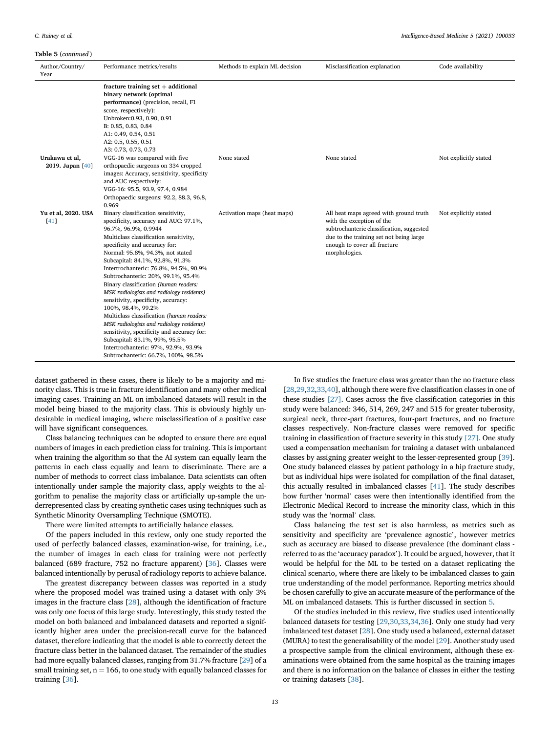#### Table 5 (continued )

| Author/Country/<br>Year            | Performance metrics/results                                                                                                                                                                                                                                                                                                                                                                                                                                                                                                                                                                                                                                                                                                                      | Methods to explain ML decision | Misclassification explanation                                                                                                                                                                                | Code availability     |
|------------------------------------|--------------------------------------------------------------------------------------------------------------------------------------------------------------------------------------------------------------------------------------------------------------------------------------------------------------------------------------------------------------------------------------------------------------------------------------------------------------------------------------------------------------------------------------------------------------------------------------------------------------------------------------------------------------------------------------------------------------------------------------------------|--------------------------------|--------------------------------------------------------------------------------------------------------------------------------------------------------------------------------------------------------------|-----------------------|
|                                    | fracture training set $+$ additional<br>binary network (optimal<br>performance) (precision, recall, F1<br>score, respectively):<br>Unbroken: 0.93, 0.90, 0.91<br>B: 0.85, 0.83, 0.84<br>A1: 0.49, 0.54, 0.51<br>A2: 0.5, 0.55, 0.51<br>A3: 0.73, 0.73, 0.73                                                                                                                                                                                                                                                                                                                                                                                                                                                                                      |                                |                                                                                                                                                                                                              |                       |
| Urakawa et al,<br>2019. Japan [40] | VGG-16 was compared with five<br>orthopaedic surgeons on 334 cropped<br>images: Accuracy, sensitivity, specificity<br>and AUC respectively:<br>VGG-16: 95.5, 93.9, 97.4, 0.984<br>Orthopaedic surgeons: 92.2, 88.3, 96.8,<br>0.969                                                                                                                                                                                                                                                                                                                                                                                                                                                                                                               | None stated                    | None stated                                                                                                                                                                                                  | Not explicitly stated |
| Yu et al, 2020. USA<br>$[41]$      | Binary classification sensitivity,<br>specificity, accuracy and AUC: 97.1%,<br>96.7%, 96.9%, 0.9944<br>Multiclass classification sensitivity,<br>specificity and accuracy for:<br>Normal: 95.8%, 94.3%, not stated<br>Subcapital: 84.1%, 92.8%, 91.3%<br>Intertrochanteric: 76.8%, 94.5%, 90.9%<br>Subtrochanteric: 20%, 99.1%, 95.4%<br>Binary classification (human readers:<br>MSK radiologists and radiology residents)<br>sensitivity, specificity, accuracy:<br>100%, 98.4%, 99.2%<br>Multiclass classification (human readers:<br>MSK radiologists and radiology residents)<br>sensitivity, specificity and accuracy for:<br>Subcapital: 83.1%, 99%, 95.5%<br>Intertrochanteric: 97%, 92.9%, 93.9%<br>Subtrochanteric: 66.7%, 100%, 98.5% | Activation maps (heat maps)    | All heat maps agreed with ground truth<br>with the exception of the<br>subtrochanteric classification, suggested<br>due to the training set not being large<br>enough to cover all fracture<br>morphologies. | Not explicitly stated |

dataset gathered in these cases, there is likely to be a majority and minority class. This is true in fracture identification and many other medical imaging cases. Training an ML on imbalanced datasets will result in the model being biased to the majority class. This is obviously highly undesirable in medical imaging, where misclassification of a positive case will have significant consequences.

Class balancing techniques can be adopted to ensure there are equal numbers of images in each prediction class for training. This is important when training the algorithm so that the AI system can equally learn the patterns in each class equally and learn to discriminate. There are a number of methods to correct class imbalance. Data scientists can often intentionally under sample the majority class, apply weights to the algorithm to penalise the majority class or artificially up-sample the underrepresented class by creating synthetic cases using techniques such as Synthetic Minority Oversampling Technique (SMOTE).

There were limited attempts to artificially balance classes.

Of the papers included in this review, only one study reported the used of perfectly balanced classes, examination-wise, for training, i.e., the number of images in each class for training were not perfectly balanced (689 fracture, 752 no fracture apparent) [[36\]](#page-17-7). Classes were balanced intentionally by perusal of radiology reports to achieve balance.

The greatest discrepancy between classes was reported in a study where the proposed model was trained using a dataset with only 3% images in the fracture class [\[28\]](#page-16-27), although the identification of fracture was only one focus of this large study. Interestingly, this study tested the model on both balanced and imbalanced datasets and reported a significantly higher area under the precision-recall curve for the balanced dataset, therefore indicating that the model is able to correctly detect the fracture class better in the balanced dataset. The remainder of the studies had more equally balanced classes, ranging from 31.7% fracture [\[29](#page-16-26)] of a small training set,  $n = 166$ , to one study with equally balanced classes for training [[36\]](#page-17-7).

In five studies the fracture class was greater than the no fracture class [[28,](#page-16-27)[29](#page-16-26)[,32](#page-17-6)[,33](#page-17-0)[,40](#page-17-8)], although there were five classification classes in one of these studies [\[27\].](#page-16-25) Cases across the five classification categories in this study were balanced: 346, 514, 269, 247 and 515 for greater tuberosity, surgical neck, three-part fractures, four-part fractures, and no fracture classes respectively. Non-fracture classes were removed for specific training in classification of fracture severity in this study [\[27\].](#page-16-25) One study used a compensation mechanism for training a dataset with unbalanced classes by assigning greater weight to the lesser-represented group [\[39](#page-17-5)]. One study balanced classes by patient pathology in a hip fracture study, but as individual hips were isolated for compilation of the final dataset, this actually resulted in imbalanced classes [[41\]](#page-17-9). The study describes how further 'normal' cases were then intentionally identified from the Electronic Medical Record to increase the minority class, which in this study was the 'normal' class.

Class balancing the test set is also harmless, as metrics such as sensitivity and specificity are 'prevalence agnostic', however metrics such as accuracy are biased to disease prevalence (the dominant class referred to as the 'accuracy paradox'). It could be argued, however, that it would be helpful for the ML to be tested on a dataset replicating the clinical scenario, where there are likely to be imbalanced classes to gain true understanding of the model performance. Reporting metrics should be chosen carefully to give an accurate measure of the performance of the ML on imbalanced datasets. This is further discussed in section [5.](#page-15-0)

Of the studies included in this review, five studies used intentionally balanced datasets for testing [\[29](#page-16-26)[,30](#page-16-28)[,33](#page-17-0)[,34](#page-17-3),[36](#page-17-7)]. Only one study had very imbalanced test dataset [\[28](#page-16-27)]. One study used a balanced, external dataset (MURA) to test the generalisability of the model [\[29](#page-16-26)]. Another study used a prospective sample from the clinical environment, although these examinations were obtained from the same hospital as the training images and there is no information on the balance of classes in either the testing or training datasets [[38\]](#page-17-2).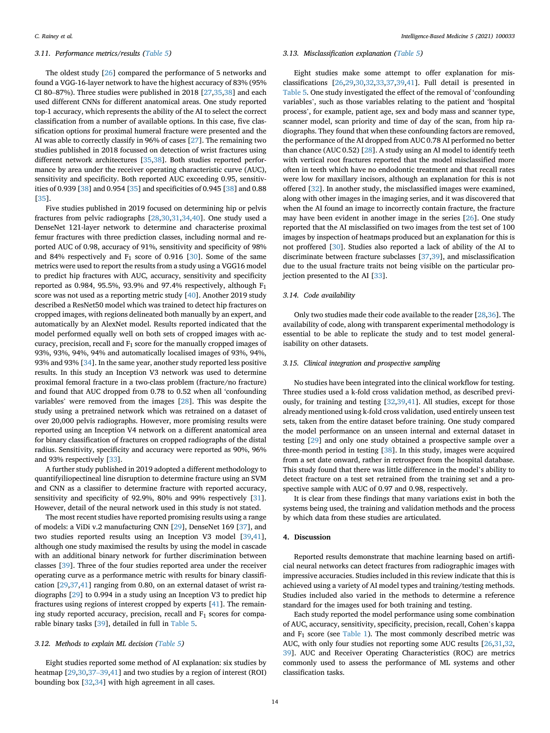## 3.11. Performance metrics/results ([Table 5\)](#page-10-0)

The oldest study [\[26](#page-16-24)] compared the performance of 5 networks and found a VGG-16-layer network to have the highest accuracy of 83% (95% CI 80–87%). Three studies were published in 2018 [[27,](#page-16-25)[35,](#page-17-1)[38\]](#page-17-2) and each used different CNNs for different anatomical areas. One study reported top-1 accuracy, which represents the ability of the AI to select the correct classification from a number of available options. In this case, five classification options for proximal humeral fracture were presented and the AI was able to correctly classify in 96% of cases [[27](#page-16-25)]. The remaining two studies published in 2018 focussed on detection of wrist fractures using different network architectures [\[35](#page-17-1)[,38](#page-17-2)]. Both studies reported performance by area under the receiver operating characteristic curve (AUC), sensitivity and specificity. Both reported AUC exceeding 0.95, sensitivities of 0.939 [\[38](#page-17-2)] and 0.954 [[35\]](#page-17-1) and specificities of 0.945 [[38\]](#page-17-2) and 0.88 [[35\]](#page-17-1).

Five studies published in 2019 focused on determining hip or pelvis fractures from pelvic radiographs [[28,](#page-16-27)[30,](#page-16-28)[31,](#page-16-29)[34,](#page-17-3)[40\]](#page-17-8). One study used a DenseNet 121-layer network to determine and characterise proximal femur fractures with three prediction classes, including normal and reported AUC of 0.98, accuracy of 91%, sensitivity and specificity of 98% and 84% respectively and  $F_1$  score of 0.916 [\[30](#page-16-28)]. Some of the same metrics were used to report the results from a study using a VGG16 model to predict hip fractures with AUC, accuracy, sensitivity and specificity reported as 0.984, 95.5%, 93.9% and 97.4% respectively, although  $F_1$ score was not used as a reporting metric study [\[40\]](#page-17-8). Another 2019 study described a ResNet50 model which was trained to detect hip fractures on cropped images, with regions delineated both manually by an expert, and automatically by an AlexNet model. Results reported indicated that the model performed equally well on both sets of cropped images with accuracy, precision, recall and  $F_1$  score for the manually cropped images of 93%, 93%, 94%, 94% and automatically localised images of 93%, 94%, 93% and 93% [\[34](#page-17-3)]. In the same year, another study reported less positive results. In this study an Inception V3 network was used to determine proximal femoral fracture in a two-class problem (fracture/no fracture) and found that AUC dropped from 0.78 to 0.52 when all 'confounding variables' were removed from the images [[28\]](#page-16-27). This was despite the study using a pretrained network which was retrained on a dataset of over 20,000 pelvis radiographs. However, more promising results were reported using an Inception V4 network on a different anatomical area for binary classification of fractures on cropped radiographs of the distal radius. Sensitivity, specificity and accuracy were reported as 90%, 96% and 93% respectively [\[33](#page-17-0)].

A further study published in 2019 adopted a different methodology to quantifyiliopectineal line disruption to determine fracture using an SVM and CNN as a classifier to determine fracture with reported accuracy, sensitivity and specificity of 92.9%, 80% and 99% respectively [\[31](#page-16-29)]. However, detail of the neural network used in this study is not stated.

The most recent studies have reported promising results using a range of models: a ViDi v.2 manufacturing CNN [\[29](#page-16-26)], DenseNet 169 [\[37](#page-17-4)], and two studies reported results using an Inception V3 model [\[39](#page-17-5)[,41](#page-17-9)], although one study maximised the results by using the model in cascade with an additional binary network for further discrimination between classes [[39\]](#page-17-5). Three of the four studies reported area under the receiver operating curve as a performance metric with results for binary classification [[29,](#page-16-26)[37,](#page-17-4)[41\]](#page-17-9) ranging from 0.80, on an external dataset of wrist radiographs [[29\]](#page-16-26) to 0.994 in a study using an Inception V3 to predict hip fractures using regions of interest cropped by experts [\[41](#page-17-9)]. The remaining study reported accuracy, precision, recall and  $F_1$  scores for comparable binary tasks [\[39](#page-17-5)], detailed in full in [Table 5](#page-10-0).

#### <span id="page-13-1"></span>3.12. Methods to explain ML decision [\(Table 5\)](#page-10-0)

Eight studies reported some method of AI explanation: six studies by heatmap [\[29](#page-16-26)[,30](#page-16-28)[,37](#page-17-4)–[39](#page-17-4)[,41](#page-17-9)] and two studies by a region of interest (ROI) bounding box [[32](#page-17-6),[34\]](#page-17-3) with high agreement in all cases.

#### <span id="page-13-0"></span>3.13. Misclassification explanation ([Table 5](#page-10-0))

Eight studies make some attempt to offer explanation for misclassifications [[26,](#page-16-24)[29,](#page-16-26)[30,](#page-16-28)[32](#page-17-6)[,33](#page-17-0)[,37](#page-17-4)[,39](#page-17-5)[,41](#page-17-9)]. Full detail is presented in [Table 5](#page-10-0). One study investigated the effect of the removal of 'confounding variables', such as those variables relating to the patient and 'hospital process', for example, patient age, sex and body mass and scanner type, scanner model, scan priority and time of day of the scan, from hip radiographs. They found that when these confounding factors are removed, the performance of the AI dropped from AUC 0.78 AI performed no better than chance (AUC 0.52) [\[28](#page-16-27)]. A study using an AI model to identify teeth with vertical root fractures reported that the model misclassified more often in teeth which have no endodontic treatment and that recall rates were low for maxillary incisors, although an explanation for this is not offered [\[32\]](#page-17-6). In another study, the misclassified images were examined, along with other images in the imaging series, and it was discovered that when the AI found an image to incorrectly contain fracture, the fracture may have been evident in another image in the series [[26\]](#page-16-24). One study reported that the AI misclassified on two images from the test set of 100 images by inspection of heatmaps produced but an explanation for this is not proffered [[30\]](#page-16-28). Studies also reported a lack of ability of the AI to discriminate between fracture subclasses [\[37](#page-17-4)[,39](#page-17-5)], and misclassification due to the usual fracture traits not being visible on the particular projection presented to the AI [\[33](#page-17-0)].

#### 3.14. Code availability

Only two studies made their code available to the reader [\[28](#page-16-27)[,36](#page-17-7)]. The availability of code, along with transparent experimental methodology is essential to be able to replicate the study and to test model generalisability on other datasets.

#### 3.15. Clinical integration and prospective sampling

No studies have been integrated into the clinical workflow for testing. Three studies used a k-fold cross validation method, as described previously, for training and testing [\[32](#page-17-6)[,39](#page-17-5)[,41](#page-17-9)]. All studies, except for those already mentioned using k-fold cross validation, used entirely unseen test sets, taken from the entire dataset before training. One study compared the model performance on an unseen internal and external dataset in testing [\[29](#page-16-26)] and only one study obtained a prospective sample over a three-month period in testing [[38\]](#page-17-2). In this study, images were acquired from a set date onward, rather in retrospect from the hospital database. This study found that there was little difference in the model's ability to detect fracture on a test set retrained from the training set and a prospective sample with AUC of 0.97 and 0.98, respectively.

It is clear from these findings that many variations exist in both the systems being used, the training and validation methods and the process by which data from these studies are articulated.

#### 4. Discussion

Reported results demonstrate that machine learning based on artificial neural networks can detect fractures from radiographic images with impressive accuracies. Studies included in this review indicate that this is achieved using a variety of AI model types and training/testing methods. Studies included also varied in the methods to determine a reference standard for the images used for both training and testing.

Each study reported the model performance using some combination of AUC, accuracy, sensitivity, specificity, precision, recall, Cohen's kappa and  $F_1$  score (see [Table 1](#page-1-0)). The most commonly described metric was AUC, with only four studies not reporting some AUC results [\[26](#page-16-24)[,31](#page-16-29),[32,](#page-17-6) [39\]](#page-17-5). AUC and Receiver Operating Characteristics (ROC) are metrics commonly used to assess the performance of ML systems and other classification tasks.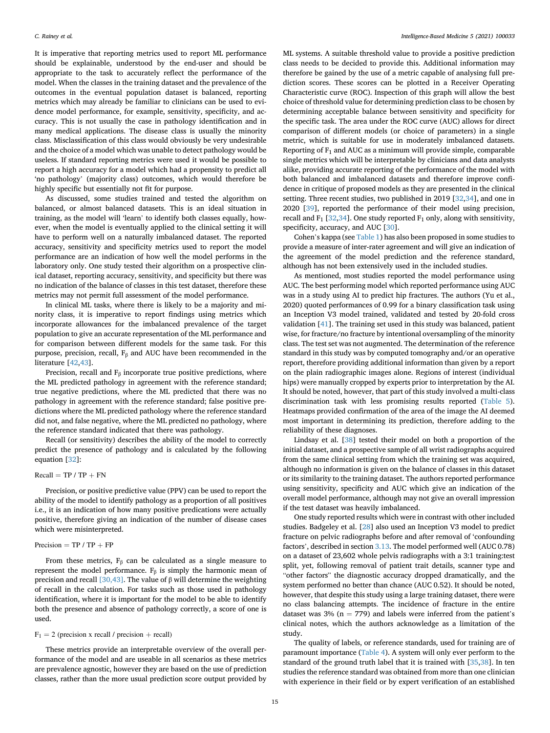It is imperative that reporting metrics used to report ML performance should be explainable, understood by the end-user and should be appropriate to the task to accurately reflect the performance of the model. When the classes in the training dataset and the prevalence of the outcomes in the eventual population dataset is balanced, reporting metrics which may already be familiar to clinicians can be used to evidence model performance, for example, sensitivity, specificity, and accuracy. This is not usually the case in pathology identification and in many medical applications. The disease class is usually the minority class. Misclassification of this class would obviously be very undesirable and the choice of a model which was unable to detect pathology would be useless. If standard reporting metrics were used it would be possible to report a high accuracy for a model which had a propensity to predict all 'no pathology' (majority class) outcomes, which would therefore be highly specific but essentially not fit for purpose.

As discussed, some studies trained and tested the algorithm on balanced, or almost balanced datasets. This is an ideal situation in training, as the model will 'learn' to identify both classes equally, however, when the model is eventually applied to the clinical setting it will have to perform well on a naturally imbalanced dataset. The reported accuracy, sensitivity and specificity metrics used to report the model performance are an indication of how well the model performs in the laboratory only. One study tested their algorithm on a prospective clinical dataset, reporting accuracy, sensitivity, and specificity but there was no indication of the balance of classes in this test dataset, therefore these metrics may not permit full assessment of the model performance.

In clinical ML tasks, where there is likely to be a majority and minority class, it is imperative to report findings using metrics which incorporate allowances for the imbalanced prevalence of the target population to give an accurate representation of the ML performance and for comparison between different models for the same task. For this purpose, precision, recall,  $F_\beta$  and AUC have been recommended in the literature [[42,](#page-17-10)[43\]](#page-17-11).

Precision, recall and  $F_\beta$  incorporate true positive predictions, where the ML predicted pathology in agreement with the reference standard; true negative predictions, where the ML predicted that there was no pathology in agreement with the reference standard; false positive predictions where the ML predicted pathology where the reference standard did not, and false negative, where the ML predicted no pathology, where the reference standard indicated that there was pathology.

Recall (or sensitivity) describes the ability of the model to correctly predict the presence of pathology and is calculated by the following equation [[32\]](#page-17-6):

#### $Recall = TP / TP + FN$

Precision, or positive predictive value (PPV) can be used to report the ability of the model to identify pathology as a proportion of all positives i.e., it is an indication of how many positive predications were actually positive, therefore giving an indication of the number of disease cases which were misinterpreted.

# Precision  $=$  TP / TP  $+$  FP

From these metrics,  $F_\beta$  can be calculated as a single measure to represent the model performance.  $F_\beta$  is simply the harmonic mean of precision and recall [\[30,43\].](#page-16-28) The value of  $β$  will determine the weighting of recall in the calculation. For tasks such as those used in pathology identification, where it is important for the model to be able to identify both the presence and absence of pathology correctly, a score of one is used.

#### $F_1 = 2$  (precision x recall / precision + recall)

These metrics provide an interpretable overview of the overall performance of the model and are useable in all scenarios as these metrics are prevalence agnostic, however they are based on the use of prediction classes, rather than the more usual prediction score output provided by ML systems. A suitable threshold value to provide a positive prediction class needs to be decided to provide this. Additional information may therefore be gained by the use of a metric capable of analysing full prediction scores. These scores can be plotted in a Receiver Operating Characteristic curve (ROC). Inspection of this graph will allow the best choice of threshold value for determining prediction class to be chosen by determining acceptable balance between sensitivity and specificity for the specific task. The area under the ROC curve (AUC) allows for direct comparison of different models (or choice of parameters) in a single metric, which is suitable for use in moderately imbalanced datasets. Reporting of  $F_1$  and AUC as a minimum will provide simple, comparable single metrics which will be interpretable by clinicians and data analysts alike, providing accurate reporting of the performance of the model with both balanced and imbalanced datasets and therefore improve confidence in critique of proposed models as they are presented in the clinical setting. Three recent studies, two published in 2019 [\[32](#page-17-6)[,34](#page-17-3)], and one in 2020 [\[39](#page-17-5)], reported the performance of their model using precision, recall and  $F_1$  [[32,](#page-17-6)[34\]](#page-17-3). One study reported  $F_1$  only, along with sensitivity, specificity, accuracy, and AUC [\[30](#page-16-28)].

Cohen's kappa (see [Table 1\)](#page-1-0) has also been proposed in some studies to provide a measure of inter-rater agreement and will give an indication of the agreement of the model prediction and the reference standard, although has not been extensively used in the included studies.

As mentioned, most studies reported the model performance using AUC. The best performing model which reported performance using AUC was in a study using AI to predict hip fractures. The authors (Yu et al., 2020) quoted performances of 0.99 for a binary classification task using an Inception V3 model trained, validated and tested by 20-fold cross validation [\[41\]](#page-17-9). The training set used in this study was balanced, patient wise, for fracture/no fracture by intentional oversampling of the minority class. The test set was not augmented. The determination of the reference standard in this study was by computed tomography and/or an operative report, therefore providing additional information than given by a report on the plain radiographic images alone. Regions of interest (individual hips) were manually cropped by experts prior to interpretation by the AI. It should be noted, however, that part of this study involved a multi-class discrimination task with less promising results reported ([Table 5\)](#page-10-0). Heatmaps provided confirmation of the area of the image the AI deemed most important in determining its prediction, therefore adding to the reliability of these diagnoses.

Lindsay et al. [\[38](#page-17-2)] tested their model on both a proportion of the initial dataset, and a prospective sample of all wrist radiographs acquired from the same clinical setting from which the training set was acquired, although no information is given on the balance of classes in this dataset or its similarity to the training dataset. The authors reported performance using sensitivity, specificity and AUC which give an indication of the overall model performance, although may not give an overall impression if the test dataset was heavily imbalanced.

One study reported results which were in contrast with other included studies. Badgeley et al. [\[28](#page-16-27)] also used an Inception V3 model to predict fracture on pelvic radiographs before and after removal of 'confounding factors', described in section [3.13.](#page-13-0) The model performed well (AUC 0.78) on a dataset of 23,602 whole pelvis radiographs with a 3:1 training:test split, yet, following removal of patient trait details, scanner type and "other factors" the diagnostic accuracy dropped dramatically, and the system performed no better than chance (AUC 0.52). It should be noted, however, that despite this study using a large training dataset, there were no class balancing attempts. The incidence of fracture in the entire dataset was 3% ( $n = 779$ ) and labels were inferred from the patient's clinical notes, which the authors acknowledge as a limitation of the study.

The quality of labels, or reference standards, used for training are of paramount importance [\(Table 4](#page-5-0)). A system will only ever perform to the standard of the ground truth label that it is trained with [\[35](#page-17-1)[,38](#page-17-2)]. In ten studies the reference standard was obtained from more than one clinician with experience in their field or by expert verification of an established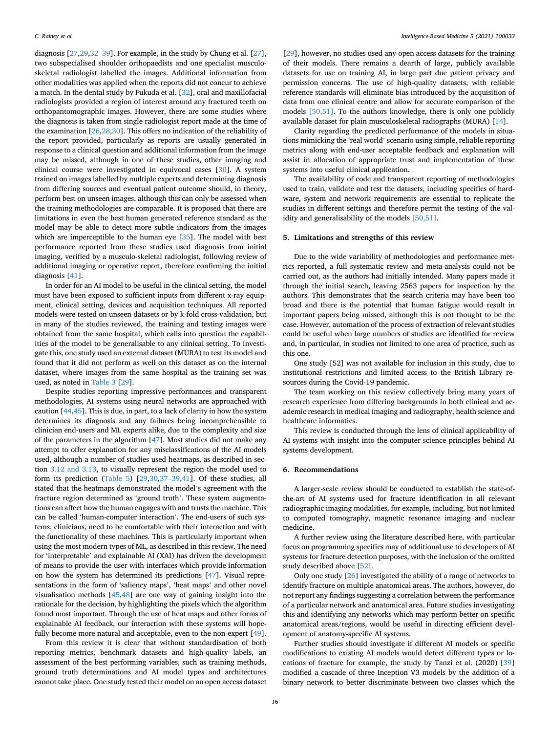diagnosis [\[27](#page-16-25),[29](#page-16-26),[32](#page-17-6)–[39](#page-17-6)]. For example, in the study by Chung et al. [\[27](#page-16-25)], two subspecialised shoulder orthopaedists and one specialist musculoskeletal radiologist labelled the images. Additional information from other modalities was applied when the reports did not concur to achieve a match. In the dental study by Fukuda et al. [[32\]](#page-17-6), oral and maxillofacial radiologists provided a region of interest around any fractured teeth on orthopantomographic images. However, there are some studies where the diagnosis is taken from single radiologist report made at the time of the examination [\[26](#page-16-24)[,28](#page-16-27)[,30](#page-16-28)]. This offers no indication of the reliability of the report provided, particularly as reports are usually generated in response to a clinical question and additional information from the image may be missed, although in one of these studies, other imaging and clinical course were investigated in equivocal cases [[30](#page-16-28)]. A system trained on images labelled by multiple experts and determining diagnosis from differing sources and eventual patient outcome should, in theory, perform best on unseen images, although this can only be assessed when the training methodologies are comparable. It is proposed that there are limitations in even the best human generated reference standard as the model may be able to detect more subtle indicators from the images which are imperceptible to the human eye [\[35](#page-17-1)]. The model with best performance reported from these studies used diagnosis from initial imaging, verified by a musculo-skeletal radiologist, following review of additional imaging or operative report, therefore confirming the initial diagnosis [[41\]](#page-17-9).

In order for an AI model to be useful in the clinical setting, the model must have been exposed to sufficient inputs from different x-ray equipment, clinical setting, devices and acquisition techniques. All reported models were tested on unseen datasets or by k-fold cross-validation, but in many of the studies reviewed, the training and testing images were obtained from the same hospital, which calls into question the capabilities of the model to be generalisable to any clinical setting. To investigate this, one study used an external dataset (MURA) to test its model and found that it did not perform as well on this dataset as on the internal dataset, where images from the same hospital as the training set was used, as noted in [Table 3](#page-4-0) [[29\]](#page-16-26).

Despite studies reporting impressive performances and transparent methodologies, AI systems using neural networks are approached with caution [[44,](#page-17-12)[45\]](#page-17-13). This is due, in part, to a lack of clarity in how the system determines its diagnosis and any failures being incomprehensible to clinician end-users and ML experts alike, due to the complexity and size of the parameters in the algorithm [\[47](#page-17-14)]. Most studies did not make any attempt to offer explanation for any misclassifications of the AI models used, although a number of studies used heatmaps, as described in section [3.12 and 3.13](#page-13-1), to visually represent the region the model used to form its prediction ([Table 5\)](#page-10-0) [[29,](#page-16-26)[30](#page-16-28)[,37](#page-17-4)–[39,](#page-17-4)[41](#page-17-9)]. Of these studies, all stated that the heatmaps demonstrated the model's agreement with the fracture region determined as 'ground truth'. These system augmentations can affect how the human engages with and trusts the machine. This can be called 'human-computer interaction'. The end-users of such systems, clinicians, need to be comfortable with their interaction and with the functionality of these machines. This is particularly important when using the most modern types of ML, as described in this review. The need for 'interpretable' and explainable AI (XAI) has driven the development of means to provide the user with interfaces which provide information on how the system has determined its predictions [\[47](#page-17-14)]. Visual representations in the form of 'saliency maps', 'heat maps' and other novel visualisation methods [[45,](#page-17-13)[48\]](#page-17-15) are one way of gaining insight into the rationale for the decision, by highlighting the pixels which the algorithm found most important. Through the use of heat maps and other forms of explainable AI feedback, our interaction with these systems will hopefully become more natural and acceptable, even to the non-expert [\[49](#page-17-16)].

From this review it is clear that without standardisation of both reporting metrics, benchmark datasets and high-quality labels, an assessment of the best performing variables, such as training methods, ground truth determinations and AI model types and architectures cannot take place. One study tested their model on an open access dataset

[[29\]](#page-16-26), however, no studies used any open access datasets for the training of their models. There remains a dearth of large, publicly available datasets for use on training AI, in large part due patient privacy and permission concerns. The use of high-quality datasets, with reliable reference standards will eliminate bias introduced by the acquisition of data from one clinical centre and allow for accurate comparison of the models [\[50,51\]](#page-17-17). To the authors knowledge, there is only one publicly available dataset for plain musculoskeletal radiographs (MURA) [\[14](#page-16-12)].

Clarity regarding the predicted performance of the models in situations mimicking the 'real world' scenario using simple, reliable reporting metrics along with end-user acceptable feedback and explanation will assist in allocation of appropriate trust and implementation of these systems into useful clinical application.

The availability of code and transparent reporting of methodologies used to train, validate and test the datasets, including specifics of hardware, system and network requirements are essential to replicate the studies in different settings and therefore permit the testing of the validity and generalisability of the models [\[50,51\].](#page-17-17)

## <span id="page-15-0"></span>5. Limitations and strengths of this review

Due to the wide variability of methodologies and performance metrics reported, a full systematic review and meta-analysis could not be carried out, as the authors had initially intended. Many papers made it through the initial search, leaving 2563 papers for inspection by the authors. This demonstrates that the search criteria may have been too broad and there is the potential that human fatigue would result in important papers being missed, although this is not thought to be the case. However, automation of the process of extraction of relevant studies could be useful when large numbers of studies are identified for review and, in particular, in studies not limited to one area of practice, such as this one.

One study [52] was not available for inclusion in this study, due to institutional restrictions and limited access to the British Library resources during the Covid-19 pandemic.

The team working on this review collectively bring many years of research experience from differing backgrounds in both clinical and academic research in medical imaging and radiography, health science and healthcare informatics.

This review is conducted through the lens of clinical applicability of AI systems with insight into the computer science principles behind AI systems development.

#### 6. Recommendations

A larger-scale review should be conducted to establish the state-ofthe-art of AI systems used for fracture identification in all relevant radiographic imaging modalities, for example, including, but not limited to computed tomography, magnetic resonance imaging and nuclear medicine.

A further review using the literature described here, with particular focus on programming specifics may of additional use to developers of AI systems for fracture detection purposes, with the inclusion of the omitted study described above [\[52\]](#page-17-18).

Only one study [\[26\]](#page-16-24) investigated the ability of a range of networks to identify fracture on multiple anatomical areas. The authors, however, do not report any findings suggesting a correlation between the performance of a particular network and anatomical area. Future studies investigating this and identifying any networks which may perform better on specific anatomical areas/regions, would be useful in directing efficient development of anatomy-specific AI systems.

Further studies should investigate if different AI models or specific modifications to existing AI models would detect different types or locations of fracture for example, the study by Tanzi et al. (2020) [\[39](#page-17-5)] modified a cascade of three Inception V3 models by the addition of a binary network to better discriminate between two classes which the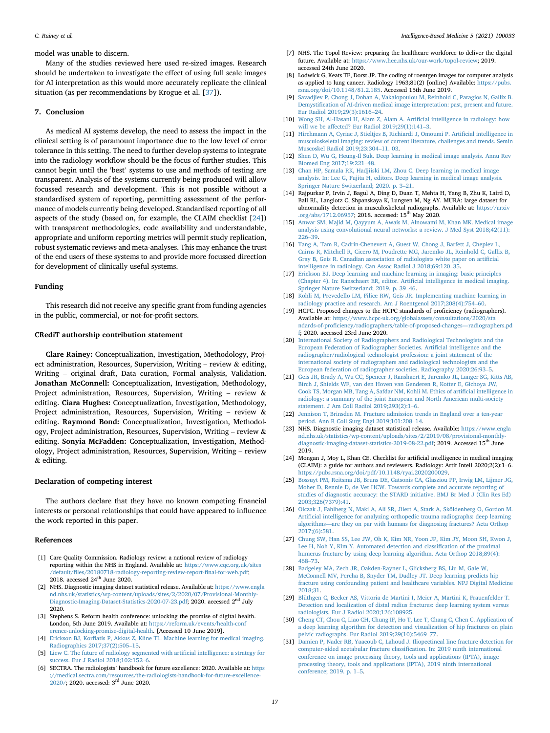model was unable to discern.

Many of the studies reviewed here used re-sized images. Research should be undertaken to investigate the effect of using full scale images for AI interpretation as this would more accurately replicate the clinical situation (as per recommendations by Krogue et al. [\[37](#page-17-4)]).

### 7. Conclusion

As medical AI systems develop, the need to assess the impact in the clinical setting is of paramount importance due to the low level of error tolerance in this setting. The need to further develop systems to integrate into the radiology workflow should be the focus of further studies. This cannot begin until the 'best' systems to use and methods of testing are transparent. Analysis of the systems currently being produced will allow focussed research and development. This is not possible without a standardised system of reporting, permitting assessment of the performance of models currently being developed. Standardised reporting of all aspects of the study (based on, for example, the CLAIM checklist [\[24](#page-16-22)]) with transparent methodologies, code availability and understandable, appropriate and uniform reporting metrics will permit study replication, robust systematic reviews and meta-analyses. This may enhance the trust of the end users of these systems to and provide more focussed direction for development of clinically useful systems.

#### Funding

This research did not receive any specific grant from funding agencies in the public, commercial, or not-for-profit sectors.

## CRediT authorship contribution statement

Clare Rainey: Conceptualization, Investigation, Methodology, Project administration, Resources, Supervision, Writing – review & editing, Writing – original draft, Data curation, Formal analysis, Validation. Jonathan McConnell: Conceptualization, Investigation, Methodology, Project administration, Resources, Supervision, Writing – review & editing. Ciara Hughes: Conceptualization, Investigation, Methodology, Project administration, Resources, Supervision, Writing – review & editing. Raymond Bond: Conceptualization, Investigation, Methodology, Project administration, Resources, Supervision, Writing – review & editing. Sonyia McFadden: Conceptualization, Investigation, Methodology, Project administration, Resources, Supervision, Writing – review & editing.

#### Declaration of competing interest

The authors declare that they have no known competing financial interests or personal relationships that could have appeared to influence the work reported in this paper.

# References

- <span id="page-16-0"></span>[1] Care Quality Commission. Radiology review: a national review of radiology reporting within the NHS in England. Available at: [https://www.cqc.org.uk/sites](https://www.cqc.org.uk/sites/default/files/20180718-radiology-reporting-review-report-final-for-web.pdf) /default/fi[les/20180718-radiology-reporting-review-report-](https://www.cqc.org.uk/sites/default/files/20180718-radiology-reporting-review-report-final-for-web.pdf)final-for-web.pdf; 2018. accessed  $24<sup>th</sup>$  June 2020.
- <span id="page-16-1"></span>[2] NHS. Diagnostic imaging dataset statistical release. Available at: [https://www.engla](https://www.england.nhs.uk/statistics/wp-content/uploads/sites/2/2020/07/Provisional-Monthly-Diagnostic-Imaging-Dataset-Statistics-2020-07-23.pdf) [nd.nhs.uk/statistics/wp-content/uploads/sites/2/2020/07/Provisional-Monthly-](https://www.england.nhs.uk/statistics/wp-content/uploads/sites/2/2020/07/Provisional-Monthly-Diagnostic-Imaging-Dataset-Statistics-2020-07-23.pdf)[Diagnostic-Imaging-Dataset-Statistics-2020-07-23.pdf](https://www.england.nhs.uk/statistics/wp-content/uploads/sites/2/2020/07/Provisional-Monthly-Diagnostic-Imaging-Dataset-Statistics-2020-07-23.pdf); 2020. accessed 2<sup>nd</sup> July 2020.
- <span id="page-16-2"></span>[3] Stephens S. Reform health conference: unlocking the promise of digital health. London, 5th June 2019. Available at: [https://reform.uk/events/health-conf](https://reform.uk/events/health-conference-unlocking-promise-digital-health) [erence-unlocking-promise-digital-health.](https://reform.uk/events/health-conference-unlocking-promise-digital-health) [Accessed 10 June 2019].
- <span id="page-16-3"></span>[4] Erickson BJ, Korfi[atis P, Akkus Z, Kline TL. Machine learning for medical imaging.](http://refhub.elsevier.com/S2666-5212(21)00009-0/sref4) [Radiographics 2017;37\(2\):505](http://refhub.elsevier.com/S2666-5212(21)00009-0/sref4)–[15](http://refhub.elsevier.com/S2666-5212(21)00009-0/sref4).
- <span id="page-16-5"></span>[5] [Liew C. The future of radiology segmented with arti](http://refhub.elsevier.com/S2666-5212(21)00009-0/sref5)ficial intelligence: a strategy for [success. Eur J Radiol 2018;102:152](http://refhub.elsevier.com/S2666-5212(21)00009-0/sref5)–[6](http://refhub.elsevier.com/S2666-5212(21)00009-0/sref5).
- [6] SECTRA. The radiologists' handbook for future excellence: 2020. Available at: [https](https://medical.sectra.com/resources/the-radiologists-handbook-for-future-excellence-2020/) [://medical.sectra.com/resources/the-radiologists-handbook-for-future-excellence-](https://medical.sectra.com/resources/the-radiologists-handbook-for-future-excellence-2020/)[2020/](https://medical.sectra.com/resources/the-radiologists-handbook-for-future-excellence-2020/); 2020. accessed: 3rd June 2020.
- <span id="page-16-4"></span>[7] NHS. The Topol Review: preparing the healthcare workforce to deliver the digital future. Available at: https://www.hee.nhs.uk/our-work/topol-review; 2019. www.hee.nhs.uk/our-work/topol-review; 2019. accessed 24th June 2020.
- <span id="page-16-6"></span>[8] Lodwick G, Keats TE, Dorst JP. The coding of roentgen images for computer analysis as applied to lung cancer. Radiology 1963;81(2) [online] Available: [https://pubs.](https://pubs.rsna.org/doi/10.1148/81.2.185) [rsna.org/doi/10.1148/81.2.185](https://pubs.rsna.org/doi/10.1148/81.2.185). Accessed 15th June 2019.
- <span id="page-16-7"></span>[9] [Savadjiev P, Chong J, Dohan A, Vakalopoulou M, Reinhold C, Paragios N, Gallix B.](http://refhub.elsevier.com/S2666-5212(21)00009-0/sref9) Demystifi[cation of AI-driven medical image interpretation: past, present and future.](http://refhub.elsevier.com/S2666-5212(21)00009-0/sref9) [Eur Radiol 2019;29\(3\):1616](http://refhub.elsevier.com/S2666-5212(21)00009-0/sref9)–[24](http://refhub.elsevier.com/S2666-5212(21)00009-0/sref9).
- <span id="page-16-8"></span>[10] [Wong SH, Al-Hasani H, Alam Z, Alam A. Arti](http://refhub.elsevier.com/S2666-5212(21)00009-0/sref10)ficial intelligence in radiology: how [will we be affected? Eur Radiol 2019;29\(1\):141](http://refhub.elsevier.com/S2666-5212(21)00009-0/sref10)–[3](http://refhub.elsevier.com/S2666-5212(21)00009-0/sref10).
- <span id="page-16-9"></span>[11] [Hirchmann A, Cyriac J, Stieltjes B, Richiardi J, Omoumi P. Arti](http://refhub.elsevier.com/S2666-5212(21)00009-0/sref11)ficial intelligence in [musculoskeletal imaging: review of current literature, challenges and trends. Semin](http://refhub.elsevier.com/S2666-5212(21)00009-0/sref11) [Muscoskel Radiol 2019;23:304](http://refhub.elsevier.com/S2666-5212(21)00009-0/sref11)–[11. 03.](http://refhub.elsevier.com/S2666-5212(21)00009-0/sref11)
- <span id="page-16-10"></span>[12] [Shen D, Wu G, Heung-Il Suk. Deep learning in medical image analysis. Annu Rev](http://refhub.elsevier.com/S2666-5212(21)00009-0/sref12) [Biomed Eng 2017;19:221](http://refhub.elsevier.com/S2666-5212(21)00009-0/sref12)–[48](http://refhub.elsevier.com/S2666-5212(21)00009-0/sref12).
- <span id="page-16-11"></span>[13] [Chan HP, Samala RK, Hadjiiski LM, Zhou C. Deep learning in medical image](http://refhub.elsevier.com/S2666-5212(21)00009-0/sref13) [analysis. In: Lee G, Fujita H, editors. Deep learning in medical image analysis.](http://refhub.elsevier.com/S2666-5212(21)00009-0/sref13) [Springer Nature Switzerland; 2020. p. 3](http://refhub.elsevier.com/S2666-5212(21)00009-0/sref13)–[21.](http://refhub.elsevier.com/S2666-5212(21)00009-0/sref13)
- <span id="page-16-12"></span>[14] Rajpurkar P, Irvin J, Bagul A, Ding D, Duan T, Mehta H, Yang B, Zhu K, Laird D, Ball RL, Langlotz C, Shpanskaya K, Lungren M, Ng AY. MURA: large dataset for abnormality detection in musculoskeletal radiographs. Available at: [https://arxiv](https://arxiv.org/abs/1712.06957) [.org/abs/1712.06957;](https://arxiv.org/abs/1712.06957) 2018. accessed: 15<sup>th</sup> May 2020.
- <span id="page-16-13"></span>[15] [Anwar SM, Majid M, Qayyum A, Awais M, Alnowami M, Khan MK. Medical image](http://refhub.elsevier.com/S2666-5212(21)00009-0/sref15) [analysis using convolutional neural networks: a review. J Med Syst 2018;42\(11\):](http://refhub.elsevier.com/S2666-5212(21)00009-0/sref15) [226](http://refhub.elsevier.com/S2666-5212(21)00009-0/sref15)–[39](http://refhub.elsevier.com/S2666-5212(21)00009-0/sref15).
- <span id="page-16-14"></span>[16] [Tang A, Tam R, Cadrin-Chenevert A, Guest W, Chong J, Barfett J, Cheplev L,](http://refhub.elsevier.com/S2666-5212(21)00009-0/sref16) [Cairns R, Mitchell R, Cicero M, Poudrette MG, Jaremko JL, Reinhold C, Gallix B,](http://refhub.elsevier.com/S2666-5212(21)00009-0/sref16) [Gray B, Geis R. Canadian association of radiologists white paper on arti](http://refhub.elsevier.com/S2666-5212(21)00009-0/sref16)ficial [intelligence in radiology. Can Assoc Radiol J 2018;69:120](http://refhub.elsevier.com/S2666-5212(21)00009-0/sref16)–[35](http://refhub.elsevier.com/S2666-5212(21)00009-0/sref16).
- <span id="page-16-15"></span>[17] [Erickson BJ. Deep learning and machine learning in imaging: basic principles](http://refhub.elsevier.com/S2666-5212(21)00009-0/sref17) [\(Chapter 4\). In: Ranschaert ER, editor. Arti](http://refhub.elsevier.com/S2666-5212(21)00009-0/sref17)ficial intelligence in medical imaging. [Springer Nature Switzerland; 2019. p. 39](http://refhub.elsevier.com/S2666-5212(21)00009-0/sref17)–[46](http://refhub.elsevier.com/S2666-5212(21)00009-0/sref17).
- <span id="page-16-16"></span>[18] [Kohli M, Prevedello LM, Filice RW, Geis JR. Implementing machine learning in](http://refhub.elsevier.com/S2666-5212(21)00009-0/sref18) [radiology practice and research. Am J Roentgenol 2017;208\(4\):754](http://refhub.elsevier.com/S2666-5212(21)00009-0/sref18)–[60.](http://refhub.elsevier.com/S2666-5212(21)00009-0/sref18)
- <span id="page-16-17"></span>[19] HCPC. Proposed changes to the HCPC standards of proficiency (radiographers). Available at: [https://www.hcpc-uk.org/globalassets/consultations/2020/sta](https://www.hcpc-uk.org/globalassets/consultations/2020/standards-of-proficiency/radiographers/table-of-proposed-changes---radiographers.pdf) ndards-of-profi[ciency/radiographers/table-of-proposed-changes](https://www.hcpc-uk.org/globalassets/consultations/2020/standards-of-proficiency/radiographers/table-of-proposed-changes---radiographers.pdf)—radiographers.pd [f](https://www.hcpc-uk.org/globalassets/consultations/2020/standards-of-proficiency/radiographers/table-of-proposed-changes---radiographers.pdf); 2020. accessed 23rd June 2020.
- <span id="page-16-18"></span>[20] [International Society of Radiographers and Radiological Technologists and the](http://refhub.elsevier.com/S2666-5212(21)00009-0/sref20) [European Federation of Radiographer Societies. Arti](http://refhub.elsevier.com/S2666-5212(21)00009-0/sref20)ficial intelligence and the [radiographer/radiological technologist profession: a joint statement of the](http://refhub.elsevier.com/S2666-5212(21)00009-0/sref20) [international society of radiographers and radiological technologists and the](http://refhub.elsevier.com/S2666-5212(21)00009-0/sref20) [European federation of radiographer societies. Radiography 2020;26:93](http://refhub.elsevier.com/S2666-5212(21)00009-0/sref20)–[5](http://refhub.elsevier.com/S2666-5212(21)00009-0/sref20).
- <span id="page-16-19"></span>[21] [Geis JR, Brady A, Wu CC, Spencer J, Ranshaert E, Jaremko JL, Langer SG, Kitts AB,](http://refhub.elsevier.com/S2666-5212(21)00009-0/sref21) [Birch J, Shields WF, van den Hoven van Genderen R, Kotter E, Gichoya JW,](http://refhub.elsevier.com/S2666-5212(21)00009-0/sref21) [Cook TS, Morgan MB, Tang A, Safdar NM, Kohli M. Ethics of arti](http://refhub.elsevier.com/S2666-5212(21)00009-0/sref21)ficial intelligence in [radiology: a summary of the joint European and North American multi-society](http://refhub.elsevier.com/S2666-5212(21)00009-0/sref21) [statement. J Am Coll Radiol 2019;293\(2\):1](http://refhub.elsevier.com/S2666-5212(21)00009-0/sref21)–[6](http://refhub.elsevier.com/S2666-5212(21)00009-0/sref21).
- <span id="page-16-20"></span>[22] [Jennison T, Brinsden M. Fracture admission trends in England over a ten-year](http://refhub.elsevier.com/S2666-5212(21)00009-0/sref22) [period. Ann R Coll Surg Engl 2019;101:208](http://refhub.elsevier.com/S2666-5212(21)00009-0/sref22)–[14](http://refhub.elsevier.com/S2666-5212(21)00009-0/sref22).
- <span id="page-16-21"></span>[23] NHS. Diagnostic imaging dataset statistical release. Available: [https://www.engla](https://www.england.nhs.uk/statistics/wp-content/uploads/sites/2/2019/08/provisional-monthly-diagnostic-imaging-dataset-statistics-2019-08-22.pdf) [nd.nhs.uk/statistics/wp-content/uploads/sites/2/2019/08/provisional-monthly](https://www.england.nhs.uk/statistics/wp-content/uploads/sites/2/2019/08/provisional-monthly-diagnostic-imaging-dataset-statistics-2019-08-22.pdf)[diagnostic-imaging-dataset-statistics-2019-08-22.pdf;](https://www.england.nhs.uk/statistics/wp-content/uploads/sites/2/2019/08/provisional-monthly-diagnostic-imaging-dataset-statistics-2019-08-22.pdf) 2019. Accessed 15<sup>th</sup> June 2019.
- <span id="page-16-22"></span>[24] Mongan J, Moy L, Khan CE. Checklist for artificial intelligence in medical imaging (CLAIM): a guide for authors and reviewers. Radiology: Artif Intell 2020;2(2):1–6. <https://pubs.rsna.org/doi/pdf/10.1148/ryai.2020200029>.
- <span id="page-16-23"></span>[25] [Bossuyt PM, Reitsma JB, Bruns DE, Gatsonis CA, Glasziou PP, Irwig LM, Lijmer JG,](http://refhub.elsevier.com/S2666-5212(21)00009-0/sref25) [Moher D, Rennie D, de Vet HCW. Towards complete and accurate reporting of](http://refhub.elsevier.com/S2666-5212(21)00009-0/sref25) [studies of diagnostic accuracy: the STARD initiative. BMJ Br Med J \(Clin Res Ed\)](http://refhub.elsevier.com/S2666-5212(21)00009-0/sref25) [2003;326\(7379\):41.](http://refhub.elsevier.com/S2666-5212(21)00009-0/sref25)
- <span id="page-16-24"></span>[26] Olczak J, Fahlberg N, Maki A, Ali SR, Jilert A, Stark A, Sköldenberg O, Gordon M. Artifi[cial intelligence for analyzing orthopedic trauma radiographs: deep learning](http://refhub.elsevier.com/S2666-5212(21)00009-0/sref26) [algorithms](http://refhub.elsevier.com/S2666-5212(21)00009-0/sref26)—[are they on par with humans for diagnosing fractures? Acta Orthop](http://refhub.elsevier.com/S2666-5212(21)00009-0/sref26) [2017;\(6\):581](http://refhub.elsevier.com/S2666-5212(21)00009-0/sref26).
- <span id="page-16-25"></span>[27] [Chung SW, Han SS, Lee JW, Oh K, Kim NR, Yoon JP, Kim JY, Moon SH, Kwon J,](http://refhub.elsevier.com/S2666-5212(21)00009-0/sref27) [Lee H, Noh Y, Kim Y. Automated detection and classi](http://refhub.elsevier.com/S2666-5212(21)00009-0/sref27)fication of the proximal [humerus fracture by using deep learning algorithm. Acta Orthop 2018;89\(4\):](http://refhub.elsevier.com/S2666-5212(21)00009-0/sref27) [468](http://refhub.elsevier.com/S2666-5212(21)00009-0/sref27)–[73](http://refhub.elsevier.com/S2666-5212(21)00009-0/sref27).
- <span id="page-16-27"></span>[28] [Badgeley MA, Zech JR, Oakden-Rayner L, Glicksberg BS, Liu M, Gale W,](http://refhub.elsevier.com/S2666-5212(21)00009-0/sref28) [McConnell MV, Percha B, Snyder TM, Dudley JT. Deep learning predicts hip](http://refhub.elsevier.com/S2666-5212(21)00009-0/sref28) [fracture using confounding patient and healthcare variables. NPJ Digital Medicine](http://refhub.elsevier.com/S2666-5212(21)00009-0/sref28) [2018;31](http://refhub.elsevier.com/S2666-5212(21)00009-0/sref28).
- <span id="page-16-26"></span>[29] [Blüthgen C, Becker AS, Vittoria de Martini I, Meier A, Martini K, Frauenfelder T.](http://refhub.elsevier.com/S2666-5212(21)00009-0/sref29) [Detection and localization of distal radius fractures: deep learning system versus](http://refhub.elsevier.com/S2666-5212(21)00009-0/sref29) [radiologists. Eur J Radiol 2020;126:108925.](http://refhub.elsevier.com/S2666-5212(21)00009-0/sref29)
- <span id="page-16-28"></span>[30] [Cheng CT, Chou C, Liao CH, Chung IF, Ho T, Lee T, Chang C, Chen C. Application of](http://refhub.elsevier.com/S2666-5212(21)00009-0/sref30) [a deep learning algorithm for detection and visualization of hip fractures on plain](http://refhub.elsevier.com/S2666-5212(21)00009-0/sref30) [pelvic radiographs. Eur Radiol 2019;29\(10\):5469](http://refhub.elsevier.com/S2666-5212(21)00009-0/sref30)–[77.](http://refhub.elsevier.com/S2666-5212(21)00009-0/sref30)
- <span id="page-16-29"></span>[31] [Damien P, Nader RB, Yaacoub C, Lahoud J. Iliopectineal line fracture detection for](http://refhub.elsevier.com/S2666-5212(21)00009-0/sref31) [computer-aided acetabular fracture classi](http://refhub.elsevier.com/S2666-5212(21)00009-0/sref31)fication. In: 2019 ninth international [conference on image processing theory, tools and applications \(IPTA\), image](http://refhub.elsevier.com/S2666-5212(21)00009-0/sref31) [processing theory, tools and applications \(IPTA\), 2019 ninth international](http://refhub.elsevier.com/S2666-5212(21)00009-0/sref31) [conference; 2019. p. 1](http://refhub.elsevier.com/S2666-5212(21)00009-0/sref31)–[5](http://refhub.elsevier.com/S2666-5212(21)00009-0/sref31).